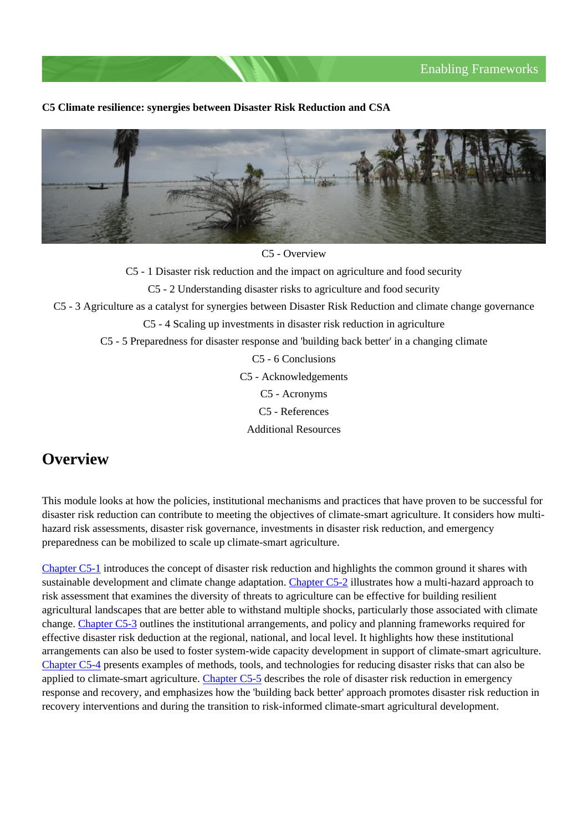#### **C5 Climate resilience: synergies between Disaster Risk Reduction and CSA**



C5 - Overview

C5 - 1 Disaster risk reduction and the impact on agriculture and food security

C5 - 2 Understanding disaster risks to agriculture and food security

C5 - 3 Agriculture as a catalyst for synergies between Disaster Risk Reduction and climate change governance

C5 - 4 Scaling up investments in disaster risk reduction in agriculture

C5 - 5 Preparedness for disaster response and 'building back better' in a changing climate

C5 - 6 Conclusions

C5 - Acknowledgements

C5 - Acronyms

C5 - References

Additional Resources

## **Overview**

This module looks at how the policies, institutional mechanisms and practices that have proven to be successful for disaster risk reduction can contribute to meeting the objectives of climate-smart agriculture. It considers how multihazard risk assessments, disaster risk governance, investments in disaster risk reduction, and emergency preparedness can be mobilized to scale up climate-smart agriculture.

[Chapter C5-1](http://www.fao.org/climate-smart-agriculture-sourcebook/enabling-frameworks/module-c5-climate-resilience/chapter-c5-1/en/) introduces the concept of disaster risk reduction and highlights the common ground it shares with sustainable development and climate change adaptation. [Chapter C5-2](http://www.fao.org/climate-smart-agriculture-sourcebook/enabling-frameworks/module-c5-climate-resilience/chapter-c5-2/en/) illustrates how a multi-hazard approach to risk assessment that examines the diversity of threats to agriculture can be effective for building resilient agricultural landscapes that are better able to withstand multiple shocks, particularly those associated with climate change. [Chapter C5-3](http://www.fao.org/climate-smart-agriculture-sourcebook/enabling-frameworks/module-c5-climate-resilience/chapter-c5-3/en/) outlines the institutional arrangements, and policy and planning frameworks required for effective disaster risk deduction at the regional, national, and local level. It highlights how these institutional arrangements can also be used to foster system-wide capacity development in support of climate-smart agriculture. [Chapter C5-4](http://www.fao.org/climate-smart-agriculture-sourcebook/enabling-frameworks/module-c5-climate-resilience/chapter-c5-4/en/) presents examples of methods, tools, and technologies for reducing disaster risks that can also be applied to climate-smart agriculture. [Chapter C5-5](http://www.fao.org/climate-smart-agriculture-sourcebook/enabling-frameworks/module-c5-climate-resilience/chapter-c5-5/en/) describes the role of disaster risk reduction in emergency response and recovery, and emphasizes how the 'building back better' approach promotes disaster risk reduction in recovery interventions and during the transition to risk-informed climate-smart agricultural development.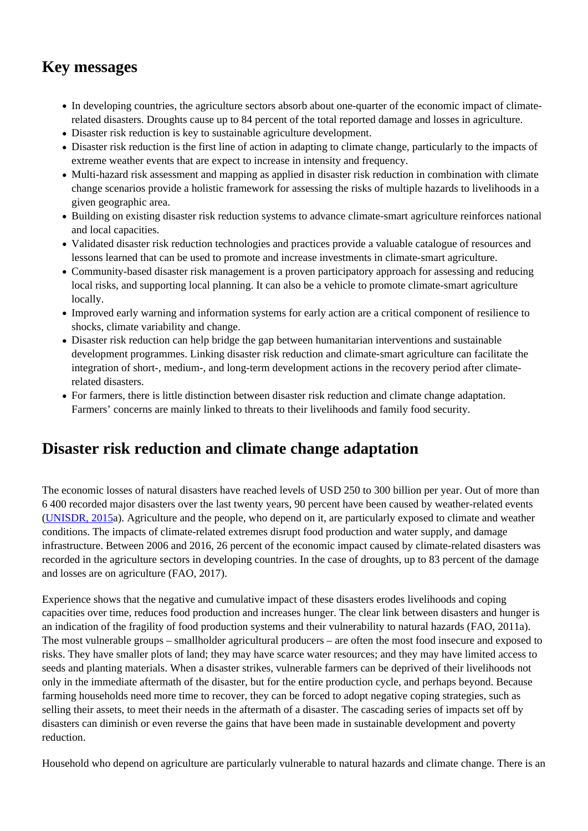# **Key messages**

- In developing countries, the agriculture sectors absorb about one-quarter of the economic impact of climaterelated disasters. Droughts cause up to 84 percent of the total reported damage and losses in agriculture.
- Disaster risk reduction is key to sustainable agriculture development.
- Disaster risk reduction is the first line of action in adapting to climate change, particularly to the impacts of extreme weather events that are expect to increase in intensity and frequency.
- Multi-hazard risk assessment and mapping as applied in disaster risk reduction in combination with climate change scenarios provide a holistic framework for assessing the risks of multiple hazards to livelihoods in a given geographic area.
- Building on existing disaster risk reduction systems to advance climate-smart agriculture reinforces national and local capacities.
- Validated disaster risk reduction technologies and practices provide a valuable catalogue of resources and lessons learned that can be used to promote and increase investments in climate-smart agriculture.
- Community-based disaster risk management is a proven participatory approach for assessing and reducing local risks, and supporting local planning. It can also be a vehicle to promote climate-smart agriculture locally.
- Improved early warning and information systems for early action are a critical component of resilience to shocks, climate variability and change.
- Disaster risk reduction can help bridge the gap between humanitarian interventions and sustainable development programmes. Linking disaster risk reduction and climate-smart agriculture can facilitate the integration of short-, medium-, and long-term development actions in the recovery period after climaterelated disasters.
- For farmers, there is little distinction between disaster risk reduction and climate change adaptation. Farmers' concerns are mainly linked to threats to their livelihoods and family food security.

# **Disaster risk reduction and climate change adaptation**

The economic losses of natural disasters have reached levels of USD 250 to 300 billion per year. Out of more than 6 400 recorded major disasters over the last twenty years, 90 percent have been caused by weather-related events [\(UNISDR, 2015a](http://www.preventionweb.net/publications/view/46796)). Agriculture and the people, who depend on it, are particularly exposed to climate and weather conditions. The impacts of climate-related extremes disrupt food production and water supply, and damage infrastructure. Between 2006 and 2016, 26 percent of the economic impact caused by climate-related disasters was recorded in the agriculture sectors in developing countries. In the case of droughts, up to 83 percent of the damage and losses are on agriculture (FAO, 2017).

Experience shows that the negative and cumulative impact of these disasters erodes livelihoods and coping capacities over time, reduces food production and increases hunger. The clear link between disasters and hunger is an indication of the fragility of food production systems and their vulnerability to natural hazards (FAO, 2011a). The most vulnerable groups – smallholder agricultural producers – are often the most food insecure and exposed to risks. They have smaller plots of land; they may have scarce water resources; and they may have limited access to seeds and planting materials. When a disaster strikes, vulnerable farmers can be deprived of their livelihoods not only in the immediate aftermath of the disaster, but for the entire production cycle, and perhaps beyond. Because farming households need more time to recover, they can be forced to adopt negative coping strategies, such as selling their assets, to meet their needs in the aftermath of a disaster. The cascading series of impacts set off by disasters can diminish or even reverse the gains that have been made in sustainable development and poverty reduction.

Household who depend on agriculture are particularly vulnerable to natural hazards and climate change. There is an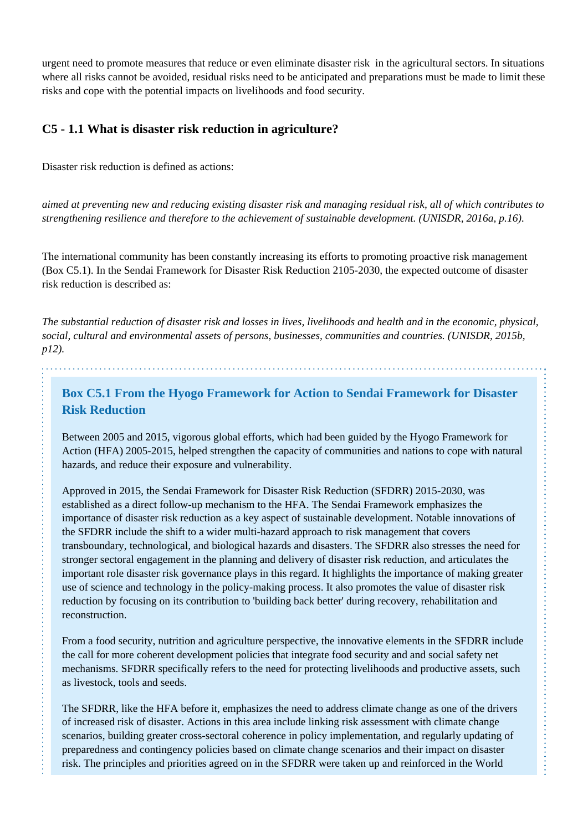urgent need to promote measures that reduce or even eliminate disaster risk in the agricultural sectors. In situations where all risks cannot be avoided, residual risks need to be anticipated and preparations must be made to limit these risks and cope with the potential impacts on livelihoods and food security.

#### **C5 - 1.1 What is disaster risk reduction in agriculture?**

Disaster risk reduction is defined as actions:

*aimed at preventing new and reducing existing disaster risk and managing residual risk, all of which contributes to strengthening resilience and therefore to the achievement of sustainable development. (UNISDR, 2016a, p.16).*

The international community has been constantly increasing its efforts to promoting proactive risk management (Box C5.1). In the Sendai Framework for Disaster Risk Reduction 2105-2030, the expected outcome of disaster risk reduction is described as:

*The substantial reduction of disaster risk and losses in lives, livelihoods and health and in the economic, physical, social, cultural and environmental assets of persons, businesses, communities and countries. (UNISDR, 2015b, p12).*

## **Box C5.1 From the Hyogo Framework for Action to Sendai Framework for Disaster Risk Reduction**

Between 2005 and 2015, vigorous global efforts, which had been guided by the Hyogo Framework for Action (HFA) 2005-2015, helped strengthen the capacity of communities and nations to cope with natural hazards, and reduce their exposure and vulnerability.

Approved in 2015, the Sendai Framework for Disaster Risk Reduction (SFDRR) 2015-2030, was established as a direct follow-up mechanism to the HFA. The Sendai Framework emphasizes the importance of disaster risk reduction as a key aspect of sustainable development. Notable innovations of the SFDRR include the shift to a wider multi-hazard approach to risk management that covers transboundary, technological, and biological hazards and disasters. The SFDRR also stresses the need for stronger sectoral engagement in the planning and delivery of disaster risk reduction, and articulates the important role disaster risk governance plays in this regard. It highlights the importance of making greater use of science and technology in the policy-making process. It also promotes the value of disaster risk reduction by focusing on its contribution to 'building back better' during recovery, rehabilitation and reconstruction.

From a food security, nutrition and agriculture perspective, the innovative elements in the SFDRR include the call for more coherent development policies that integrate food security and and social safety net mechanisms. SFDRR specifically refers to the need for protecting livelihoods and productive assets, such as livestock, tools and seeds.

The SFDRR, like the HFA before it, emphasizes the need to address climate change as one of the drivers of increased risk of disaster. Actions in this area include linking risk assessment with climate change scenarios, building greater cross-sectoral coherence in policy implementation, and regularly updating of preparedness and contingency policies based on climate change scenarios and their impact on disaster risk. The principles and priorities agreed on in the SFDRR were taken up and reinforced in the World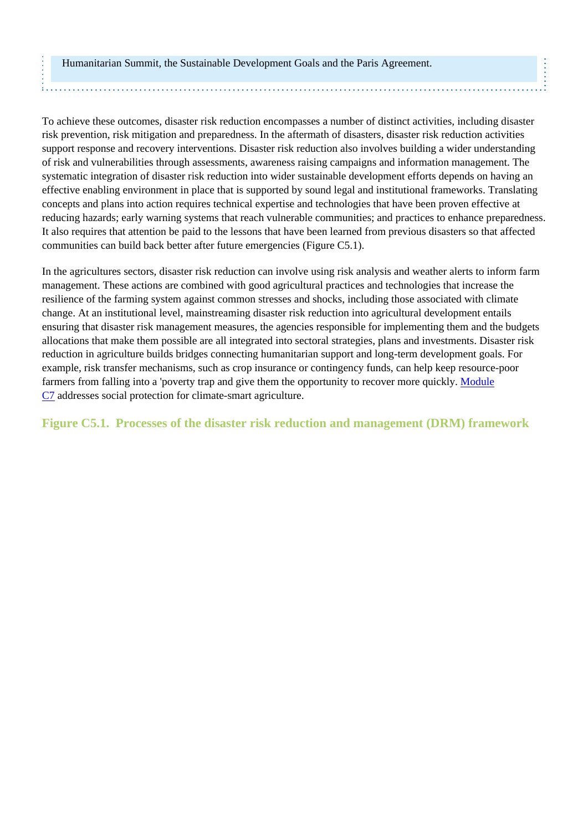#### Humanitarian Summit, the Sustainable Development Goals and the Paris Agreement.

To achieve these outcomes, disaster risk reduction encompasses a number of distinct activities, including disaster risk prevention, risk mitigation and preparedness. In the aftermath of disasters, disaster risk reduction activities support response and recovery interventions. Disaster risk reduction also involves building a wider understanding of risk and vulnerabilities through assessments, awareness raising campaigns and information management. The systematic integration of disaster risk reduction into wider sustainable development efforts depends on having an effective enabling environment in place that is supported by sound legal and institutional frameworks. Translating concepts and plans into action requires technical expertise and technologies that have been proven effective at reducing hazards; early warning systems that reach vulnerable communities; and practices to enhance preparedness. It also requires that attention be paid to the lessons that have been learned from previous disasters so that affected communities can build back better after future emergencies (Figure C5.1).

In the agricultures sectors, disaster risk reduction can involve using risk analysis and weather alerts to inform farm management. These actions are combined with good agricultural practices and technologies that increase the resilience of the farming system against common stresses and shocks, including those associated with climate change. At an institutional level, mainstreaming disaster risk reduction into agricultural development entails ensuring that disaster risk management measures, the agencies responsible for implementing them and the budgets allocations that make them possible are all integrated into sectoral strategies, plans and investments. Disaster risk reduction in agriculture builds bridges connecting humanitarian support and long-term development goals. For example, risk transfer mechanisms, such as crop insurance or contingency funds, can help keep resource-poor farmers from falling into a 'poverty trap and give them the opportunity to recover more quickly. [Module](http://www.fao.org/climate-smart-agriculture-sourcebook/enabling-frameworks/module-c7-social-protection/c7-overview/en/) [C7](http://www.fao.org/climate-smart-agriculture-sourcebook/enabling-frameworks/module-c7-social-protection/c7-overview/en/) addresses social protection for climate-smart agriculture.

#### **Figure C5.1. Processes of the disaster risk reduction and management (DRM) framework**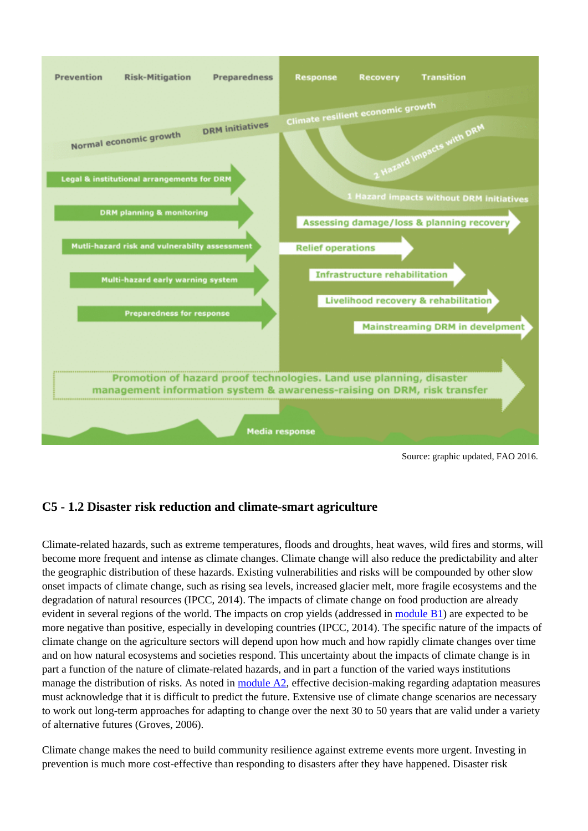

Source: graphic updated, FAO 2016.

## **C5 - 1.2 Disaster risk reduction and climate-smart agriculture**

Climate-related hazards, such as extreme temperatures, floods and droughts, heat waves, wild fires and storms, will become more frequent and intense as climate changes. Climate change will also reduce the predictability and alter the geographic distribution of these hazards. Existing vulnerabilities and risks will be compounded by other slow onset impacts of climate change, such as rising sea levels, increased glacier melt, more fragile ecosystems and the degradation of natural resources (IPCC, 2014). The impacts of climate change on food production are already evident in several regions of the world. The impacts on crop yields (addressed in [module B1\)](http://www.fao.org/climate-smart-agriculture-sourcebook/production-resources/module-b1-crops/b1-overview/en/) are expected to be more negative than positive, especially in developing countries (IPCC, 2014). The specific nature of the impacts of climate change on the agriculture sectors will depend upon how much and how rapidly climate changes over time and on how natural ecosystems and societies respond. This uncertainty about the impacts of climate change is in part a function of the nature of climate-related hazards, and in part a function of the varied ways institutions manage the distribution of risks. As noted in [module A2](http://www.fao.org/climate-smart-agriculture-sourcebook/concept/module-a2-adaptation-mitigation/a2-overview/en/), effective decision-making regarding adaptation measures must acknowledge that it is difficult to predict the future. Extensive use of climate change scenarios are necessary to work out long-term approaches for adapting to change over the next 30 to 50 years that are valid under a variety of alternative futures (Groves, 2006).

Climate change makes the need to build community resilience against extreme events more urgent. Investing in prevention is much more cost-effective than responding to disasters after they have happened. Disaster risk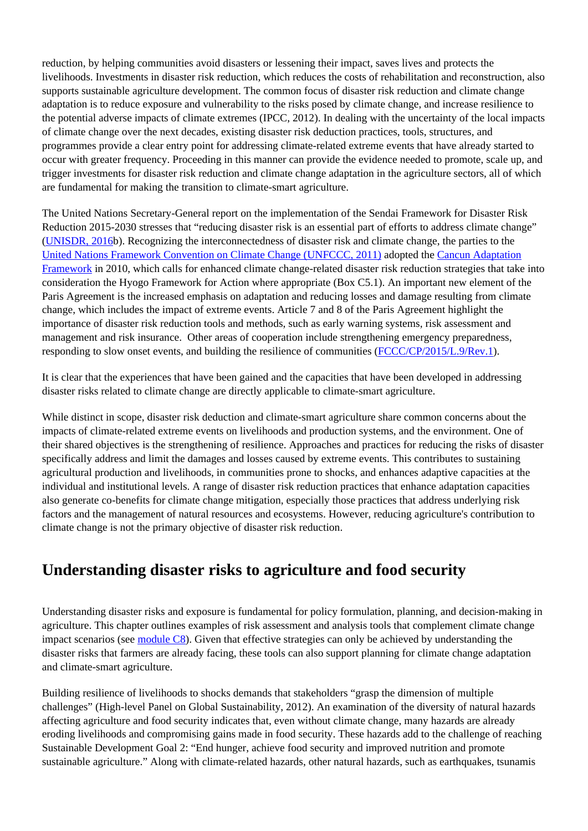reduction, by helping communities avoid disasters or lessening their impact, saves lives and protects the livelihoods. Investments in disaster risk reduction, which reduces the costs of rehabilitation and reconstruction, also supports sustainable agriculture development. The common focus of disaster risk reduction and climate change adaptation is to reduce exposure and vulnerability to the risks posed by climate change, and increase resilience to the potential adverse impacts of climate extremes (IPCC, 2012). In dealing with the uncertainty of the local impacts of climate change over the next decades, existing disaster risk deduction practices, tools, structures, and programmes provide a clear entry point for addressing climate-related extreme events that have already started to occur with greater frequency. Proceeding in this manner can provide the evidence needed to promote, scale up, and trigger investments for disaster risk reduction and climate change adaptation in the agriculture sectors, all of which are fundamental for making the transition to climate-smart agriculture.

The United Nations Secretary-General report on the implementation of the Sendai Framework for Disaster Risk Reduction 2015-2030 stresses that "reducing disaster risk is an essential part of efforts to address climate change" [\(UNISDR, 2016b](http://www.unisdr.org/files/resolutions/N1624116.pdf)). Recognizing the interconnectedness of disaster risk and climate change, the parties to the [United Nations Framework Convention on Climate Change \(UNFCCC, 2011\)](http://unfccc.int/2860.php) adopted the [Cancun Adaptation](http://unfccc.int/resource/docs/2010/cop16/eng/07a01.pdf#page=4) [Framework](http://unfccc.int/resource/docs/2010/cop16/eng/07a01.pdf#page=4) in 2010, which calls for enhanced climate change-related disaster risk reduction strategies that take into consideration the Hyogo Framework for Action where appropriate (Box C5.1). An important new element of the Paris Agreement is the increased emphasis on adaptation and reducing losses and damage resulting from climate change, which includes the impact of extreme events. Article 7 and 8 of the Paris Agreement highlight the importance of disaster risk reduction tools and methods, such as early warning systems, risk assessment and management and risk insurance. Other areas of cooperation include strengthening emergency preparedness, responding to slow onset events, and building the resilience of communities ([FCCC/CP/2015/L.9/Rev.1\)](https://unfccc.int/resource/docs/2015/cop21/eng/l09r01.pdf).

It is clear that the experiences that have been gained and the capacities that have been developed in addressing disaster risks related to climate change are directly applicable to climate-smart agriculture.

While distinct in scope, disaster risk deduction and climate-smart agriculture share common concerns about the impacts of climate-related extreme events on livelihoods and production systems, and the environment. One of their shared objectives is the strengthening of resilience. Approaches and practices for reducing the risks of disaster specifically address and limit the damages and losses caused by extreme events. This contributes to sustaining agricultural production and livelihoods, in communities prone to shocks, and enhances adaptive capacities at the individual and institutional levels. A range of disaster risk reduction practices that enhance adaptation capacities also generate co-benefits for climate change mitigation, especially those practices that address underlying risk factors and the management of natural resources and ecosystems. However, reducing agriculture's contribution to climate change is not the primary objective of disaster risk reduction.

# **Understanding disaster risks to agriculture and food security**

Understanding disaster risks and exposure is fundamental for policy formulation, planning, and decision-making in agriculture. This chapter outlines examples of risk assessment and analysis tools that complement climate change impact scenarios (see [module C8\)](http://www.fao.org/climate-smart-agriculture-sourcebook/enabling-frameworks/module-c8-impact-assessments/c8-overview/en/). Given that effective strategies can only be achieved by understanding the disaster risks that farmers are already facing, these tools can also support planning for climate change adaptation and climate-smart agriculture.

Building resilience of livelihoods to shocks demands that stakeholders "grasp the dimension of multiple challenges" (High-level Panel on Global Sustainability, 2012). An examination of the diversity of natural hazards affecting agriculture and food security indicates that, even without climate change, many hazards are already eroding livelihoods and compromising gains made in food security. These hazards add to the challenge of reaching Sustainable Development Goal 2: "End hunger, achieve food security and improved nutrition and promote sustainable agriculture." Along with climate-related hazards, other natural hazards, such as earthquakes, tsunamis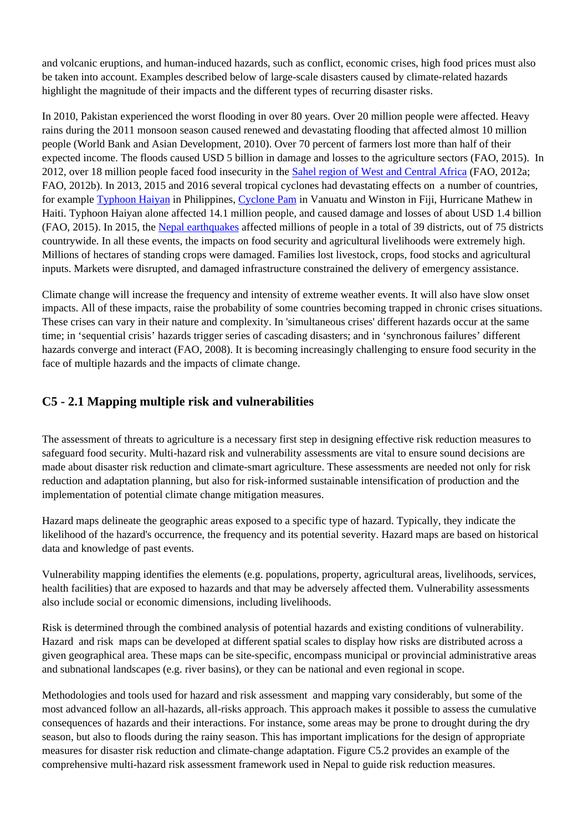and volcanic eruptions, and human-induced hazards, such as conflict, economic crises, high food prices must also be taken into account. Examples described below of large-scale disasters caused by climate-related hazards highlight the magnitude of their impacts and the different types of recurring disaster risks.

In 2010, Pakistan experienced the worst flooding in over 80 years. Over 20 million people were affected. Heavy rains during the 2011 monsoon season caused renewed and devastating flooding that affected almost 10 million people (World Bank and Asian Development, 2010). Over 70 percent of farmers lost more than half of their expected income. The floods caused USD 5 billion in damage and losses to the agriculture sectors (FAO, 2015). In 2012, over 18 million people faced food insecurity in the [Sahel region of West and Central Africa](http://www.fao.org/emergencies/crisis/sahel/en/) (FAO, 2012a; FAO, 2012b). In 2013, 2015 and 2016 several tropical cyclones had devastating effects on a number of countries, for example [Typhoon Haiyan](http://www.fao.org/emergencies/crisis/philippines-typhoon-haiyan/en/) in Philippines, [Cyclone Pam](http://www.fao.org/emergencies/crisis/vanuatu/en/) in Vanuatu and Winston in Fiji, Hurricane Mathew in Haiti. Typhoon Haiyan alone affected 14.1 million people, and caused damage and losses of about USD 1.4 billion (FAO, 2015). In 2015, the [Nepal earthquakes](http://www.fao.org/emergencies/crisis/nepal-earthquakes/en/) affected millions of people in a total of 39 districts, out of 75 districts countrywide. In all these events, the impacts on food security and agricultural livelihoods were extremely high. Millions of hectares of standing crops were damaged. Families lost livestock, crops, food stocks and agricultural inputs. Markets were disrupted, and damaged infrastructure constrained the delivery of emergency assistance.

Climate change will increase the frequency and intensity of extreme weather events. It will also have slow onset impacts. All of these impacts, raise the probability of some countries becoming trapped in chronic crises situations. These crises can vary in their nature and complexity. In 'simultaneous crises' different hazards occur at the same time; in 'sequential crisis' hazards trigger series of cascading disasters; and in 'synchronous failures' different hazards converge and interact (FAO, 2008). It is becoming increasingly challenging to ensure food security in the face of multiple hazards and the impacts of climate change.

## **C5 - 2.1 Mapping multiple risk and vulnerabilities**

The assessment of threats to agriculture is a necessary first step in designing effective risk reduction measures to safeguard food security. Multi-hazard risk and vulnerability assessments are vital to ensure sound decisions are made about disaster risk reduction and climate-smart agriculture. These assessments are needed not only for risk reduction and adaptation planning, but also for risk-informed sustainable intensification of production and the implementation of potential climate change mitigation measures.

Hazard maps delineate the geographic areas exposed to a specific type of hazard. Typically, they indicate the likelihood of the hazard's occurrence, the frequency and its potential severity. Hazard maps are based on historical data and knowledge of past events.

Vulnerability mapping identifies the elements (e.g. populations, property, agricultural areas, livelihoods, services, health facilities) that are exposed to hazards and that may be adversely affected them. Vulnerability assessments also include social or economic dimensions, including livelihoods.

Risk is determined through the combined analysis of potential hazards and existing conditions of vulnerability. Hazard and risk maps can be developed at different spatial scales to display how risks are distributed across a given geographical area. These maps can be site-specific, encompass municipal or provincial administrative areas and subnational landscapes (e.g. river basins), or they can be national and even regional in scope.

Methodologies and tools used for hazard and risk assessment and mapping vary considerably, but some of the most advanced follow an all-hazards, all-risks approach. This approach makes it possible to assess the cumulative consequences of hazards and their interactions. For instance, some areas may be prone to drought during the dry season, but also to floods during the rainy season. This has important implications for the design of appropriate measures for disaster risk reduction and climate-change adaptation. Figure C5.2 provides an example of the comprehensive multi-hazard risk assessment framework used in Nepal to guide risk reduction measures.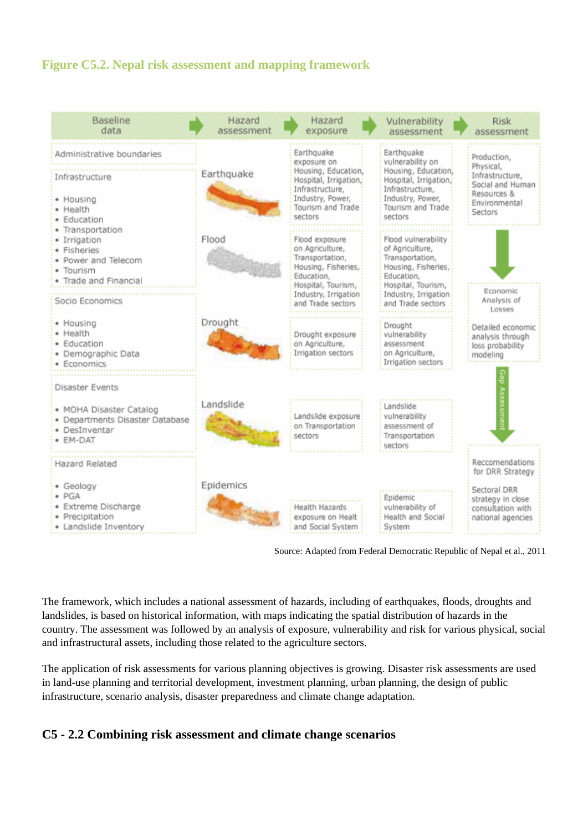## **Figure C5.2. Nepal risk assessment and mapping framework**

| <b>Baseline</b><br>data                                                                                                       | Hazard<br>assessment | Hazard<br>exposure                                                                                                                                           | Vulnerability<br>assessment                                                                                                                                       | <b>Risk</b><br>assessment                                                                                          |
|-------------------------------------------------------------------------------------------------------------------------------|----------------------|--------------------------------------------------------------------------------------------------------------------------------------------------------------|-------------------------------------------------------------------------------------------------------------------------------------------------------------------|--------------------------------------------------------------------------------------------------------------------|
| Administrative boundaries<br>Infrastructure<br>• Housing<br>• Health<br>· Education                                           | Earthquake           | Earthquake<br>exposure on<br>Housing, Education,<br>Hospital, Irrigation,<br>Infrastructure,<br>Industry, Power,<br>Tourism and Trade<br>sectors             | Earthquake<br>vulnerability on<br>Housing, Education,<br>Hospital, Irrigation,<br>Infrastructure,<br>Industry, Power,<br>Tourism and Trade<br>sectors             | Production,<br>Physical,<br>Infrastructure,<br>Social and Human<br>Resources &<br>Environmental<br>Sectors         |
| · Transportation<br>· Irrigation<br>· Fisheries<br>· Power and Telecom<br>· Tourism<br>Trade and Financial<br>Socio Economics | Flood                | Flood exposure<br>on Agriculture,<br>Transportation,<br>Housing, Fisheries,<br>Education,<br>Hospital, Tourism,<br>Industry, Irrigation<br>and Trade sectors | Flood vulnerability<br>of Agriculture,<br>Transportation,<br>Housing, Fisheries,<br>Education,<br>Hospital, Tourism,<br>Industry, Irrigation<br>and Trade sectors | Economic<br>Analysis of                                                                                            |
| • Housing<br>· Health<br>· Education<br>· Demographic Data<br>· Economics                                                     | Drought              | Drought exposure<br>on Agriculture,<br>Irrigation sectors                                                                                                    | Drought<br>vulnerability<br>assessment<br>on Agriculture,<br>Irrigation sectors                                                                                   | Losses<br>Detailed economic<br>analysis through<br>loss probability<br>modeling                                    |
| Disaster Events<br>• MOHA Disaster Catalog<br>· Departments Disaster Database<br>· DesInventar<br>• EM-DAT                    | Landslide            | Landslide exposure<br>on Transportation<br>sectors                                                                                                           | Landslide<br>vulnerability<br>assessment of<br>Transportation<br>sectors                                                                                          |                                                                                                                    |
| Hazard Related<br>• Geology<br>$\bullet$ PGA<br>· Extreme Discharge<br>· Precipitation<br>· Landslide Inventory               | Epidemics            | Health Hazards<br>exposure on Healt<br>and Social System                                                                                                     | Epidemic<br>vulnerability of<br>Health and Social<br>System                                                                                                       | Reccomendations<br>for DRR Strategy<br>Sectoral DRR<br>strategy in close<br>consultation with<br>national agencies |

Source: Adapted from Federal Democratic Republic of Nepal et al., 2011

The framework, which includes a national assessment of hazards, including of earthquakes, floods, droughts and landslides, is based on historical information, with maps indicating the spatial distribution of hazards in the country. The assessment was followed by an analysis of exposure, vulnerability and risk for various physical, social and infrastructural assets, including those related to the agriculture sectors.

The application of risk assessments for various planning objectives is growing. Disaster risk assessments are used in land-use planning and territorial development, investment planning, urban planning, the design of public infrastructure, scenario analysis, disaster preparedness and climate change adaptation.

## **C5 - 2.2 Combining risk assessment and climate change scenarios**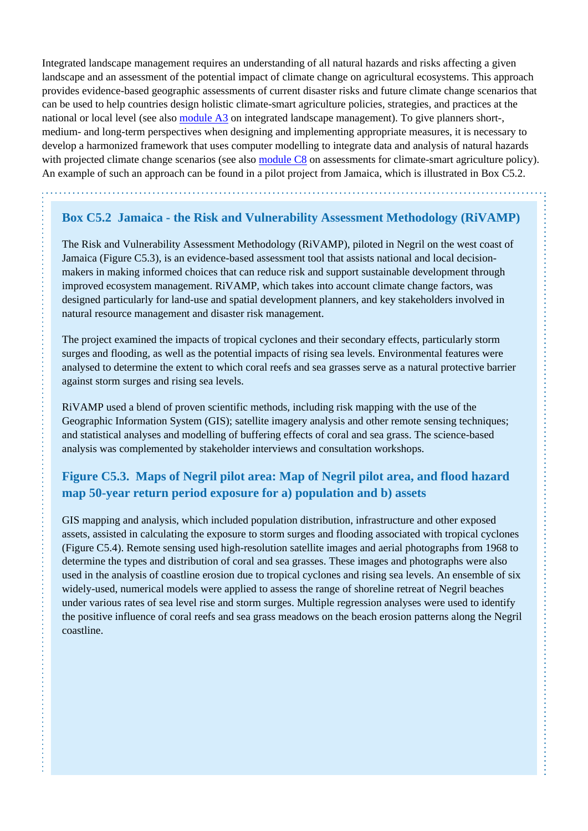Integrated landscape management requires an understanding of all natural hazards and risks affecting a given landscape and an assessment of the potential impact of climate change on agricultural ecosystems. This approach provides evidence-based geographic assessments of current disaster risks and future climate change scenarios that can be used to help countries design holistic climate-smart agriculture policies, strategies, and practices at the national or local level (see also [module A3](http://www.fao.org/climate-smart-agriculture-sourcebook/concept/module-a3-landscapes/a3-overview/en/) on integrated landscape management). To give planners short-, medium- and long-term perspectives when designing and implementing appropriate measures, it is necessary to develop a harmonized framework that uses computer modelling to integrate data and analysis of natural hazards with projected climate change scenarios (see also [module C8](http://www.fao.org/climate-smart-agriculture-sourcebook/enabling-frameworks/module-c8-impact-assessments/c8-overview/en/) on assessments for climate-smart agriculture policy). An example of such an approach can be found in a pilot project from Jamaica, which is illustrated in Box C5.2.

## **Box C5.2 Jamaica - the Risk and Vulnerability Assessment Methodology (RiVAMP)**

The Risk and Vulnerability Assessment Methodology (RiVAMP), piloted in Negril on the west coast of Jamaica (Figure C5.3), is an evidence-based assessment tool that assists national and local decisionmakers in making informed choices that can reduce risk and support sustainable development through improved ecosystem management. RiVAMP, which takes into account climate change factors, was designed particularly for land-use and spatial development planners, and key stakeholders involved in natural resource management and disaster risk management.

The project examined the impacts of tropical cyclones and their secondary effects, particularly storm surges and flooding, as well as the potential impacts of rising sea levels. Environmental features were analysed to determine the extent to which coral reefs and sea grasses serve as a natural protective barrier against storm surges and rising sea levels.

RiVAMP used a blend of proven scientific methods, including risk mapping with the use of the Geographic Information System (GIS); satellite imagery analysis and other remote sensing techniques; and statistical analyses and modelling of buffering effects of coral and sea grass. The science-based analysis was complemented by stakeholder interviews and consultation workshops.

## **Figure C5.3. Maps of Negril pilot area: Map of Negril pilot area, and flood hazard map 50-year return period exposure for a) population and b) assets**

GIS mapping and analysis, which included population distribution, infrastructure and other exposed assets, assisted in calculating the exposure to storm surges and flooding associated with tropical cyclones (Figure C5.4). Remote sensing used high-resolution satellite images and aerial photographs from 1968 to determine the types and distribution of coral and sea grasses. These images and photographs were also used in the analysis of coastline erosion due to tropical cyclones and rising sea levels. An ensemble of six widely-used, numerical models were applied to assess the range of shoreline retreat of Negril beaches under various rates of sea level rise and storm surges. Multiple regression analyses were used to identify the positive influence of coral reefs and sea grass meadows on the beach erosion patterns along the Negril coastline.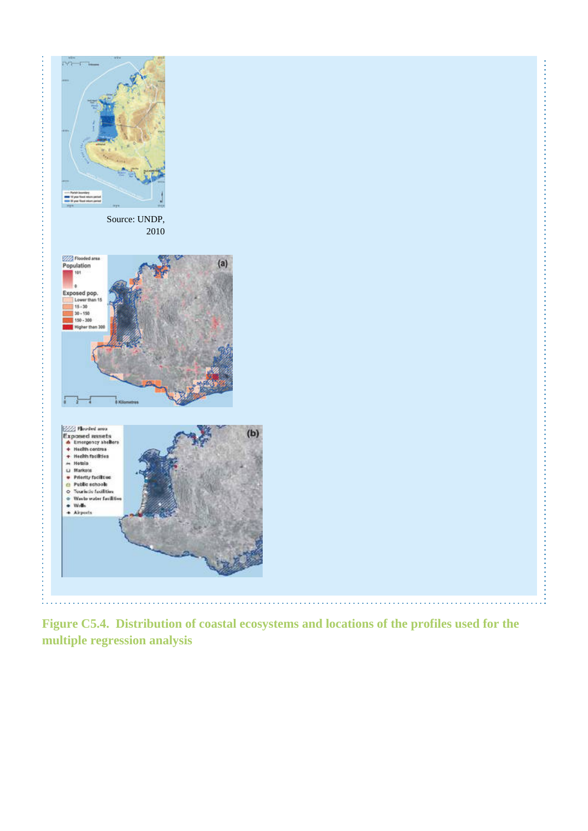

**Figure C5.4. Distribution of coastal ecosystems and locations of the profiles used for the multiple regression analysis**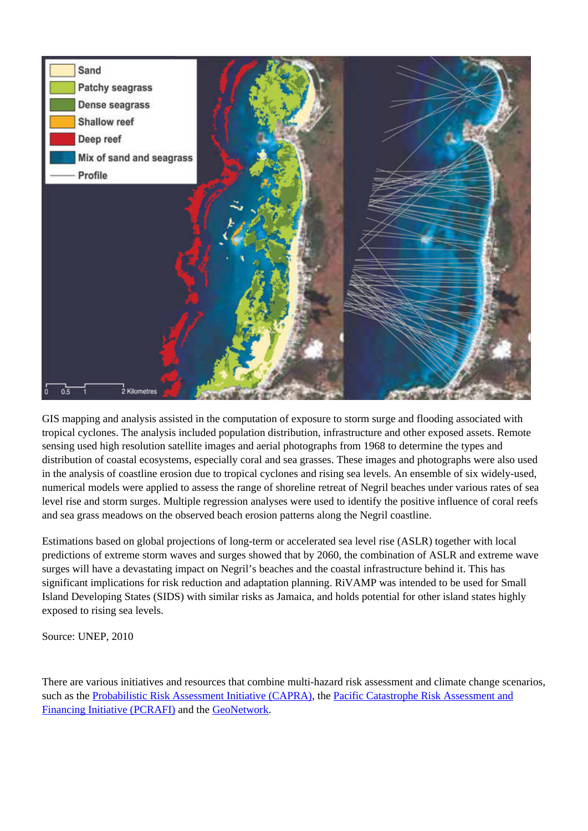

GIS mapping and analysis assisted in the computation of exposure to storm surge and flooding associated with tropical cyclones. The analysis included population distribution, infrastructure and other exposed assets. Remote sensing used high resolution satellite images and aerial photographs from 1968 to determine the types and distribution of coastal ecosystems, especially coral and sea grasses. These images and photographs were also used in the analysis of coastline erosion due to tropical cyclones and rising sea levels. An ensemble of six widely-used, numerical models were applied to assess the range of shoreline retreat of Negril beaches under various rates of sea level rise and storm surges. Multiple regression analyses were used to identify the positive influence of coral reefs and sea grass meadows on the observed beach erosion patterns along the Negril coastline.

Estimations based on global projections of long-term or accelerated sea level rise (ASLR) together with local predictions of extreme storm waves and surges showed that by 2060, the combination of ASLR and extreme wave surges will have a devastating impact on Negril's beaches and the coastal infrastructure behind it. This has significant implications for risk reduction and adaptation planning. RiVAMP was intended to be used for Small Island Developing States (SIDS) with similar risks as Jamaica, and holds potential for other island states highly exposed to rising sea levels.

Source: UNEP, 2010

There are various initiatives and resources that combine multi-hazard risk assessment and climate change scenarios, such as the [Probabilistic Risk Assessment Initiative \(CAPRA\),](http://www.ecapra.org/) the [Pacific Catastrophe Risk Assessment and](http://pcrafi.sopac.org/) [Financing Initiative \(PCRAFI\)](http://pcrafi.sopac.org/) and the [GeoNetwork.](http://geonetwork-opensource.org/)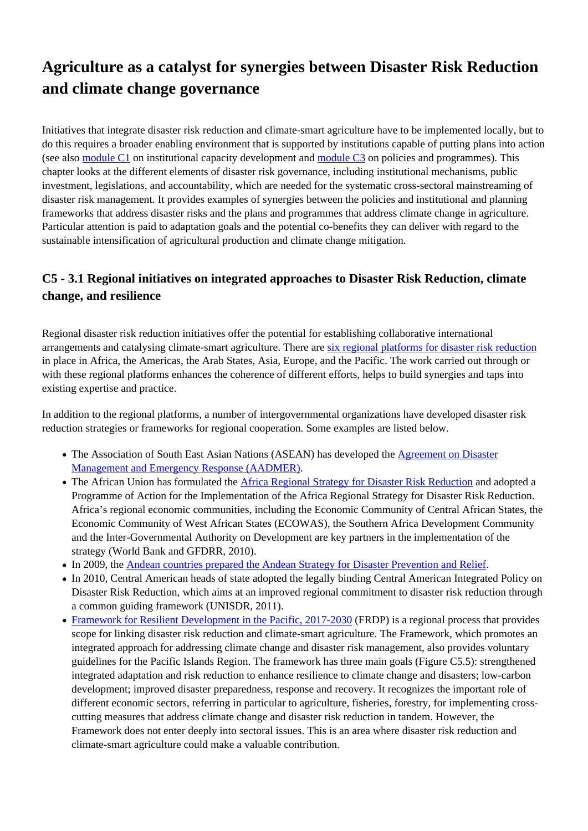# **Agriculture as a catalyst for synergies between Disaster Risk Reduction and climate change governance**

Initiatives that integrate disaster risk reduction and climate-smart agriculture have to be implemented locally, but to do this requires a broader enabling environment that is supported by institutions capable of putting plans into action (see also [module C1](http://www.fao.org/climate-smart-agriculture-sourcebook/enabling-frameworks/module-c1-capacity-development/c1-overview/en/) on institutional capacity development and [module C3](http://www.fao.org/climate-smart-agriculture-sourcebook/enabling-frameworks/module-c3-policy/c3-overview/en/) on policies and programmes). This chapter looks at the different elements of disaster risk governance, including institutional mechanisms, public investment, legislations, and accountability, which are needed for the systematic cross-sectoral mainstreaming of disaster risk management. It provides examples of synergies between the policies and institutional and planning frameworks that address disaster risks and the plans and programmes that address climate change in agriculture. Particular attention is paid to adaptation goals and the potential co-benefits they can deliver with regard to the sustainable intensification of agricultural production and climate change mitigation.

## **C5 - 3.1 Regional initiatives on integrated approaches to Disaster Risk Reduction, climate change, and resilience**

Regional disaster risk reduction initiatives offer the potential for establishing collaborative international arrangements and catalysing climate-smart agriculture. There are [six regional platforms for disaster risk reduction](https://www.unisdr.org/we/coordinate/regional-platforms) in place in Africa, the Americas, the Arab States, Asia, Europe, and the Pacific. The work carried out through or with these regional platforms enhances the coherence of different efforts, helps to build synergies and taps into existing expertise and practice.

In addition to the regional platforms, a number of intergovernmental organizations have developed disaster risk reduction strategies or frameworks for regional cooperation. Some examples are listed below.

- The Association of South East Asian Nations (ASEAN) has developed the [Agreement on Disaster](http://asean.org/asean-socio-cultural/asean-agreement-on-disaster-management-and-emergency-response-cop-to-aadmer/aadmer-work-programme/) [Management and Emergency Response \(AADMER\)](http://asean.org/asean-socio-cultural/asean-agreement-on-disaster-management-and-emergency-response-cop-to-aadmer/aadmer-work-programme/).
- The African Union has formulated the [Africa Regional Strategy for Disaster Risk Reduction](https://www.unisdr.org/we/inform/publications/4038) and adopted a Programme of Action for the Implementation of the Africa Regional Strategy for Disaster Risk Reduction. Africa's regional economic communities, including the Economic Community of Central African States, the Economic Community of West African States (ECOWAS), the Southern Africa Development Community and the Inter-Governmental Authority on Development are key partners in the implementation of the strategy (World Bank and GFDRR, 2010).
- In 2009, the [Andean countries prepared the Andean Strategy for Disaster Prevention and Relief](http://www.preventionweb.net/english/policies/v.php?id=10828&rid=2).
- In 2010, Central American heads of state adopted the legally binding Central American Integrated Policy on Disaster Risk Reduction, which aims at an improved regional commitment to disaster risk reduction through a common guiding framework (UNISDR, 2011).
- [Framework for Resilient Development in the Pacific, 2017-2030](https://www.pacificclimatechange.net/document/frdp_2016) (FRDP) is a regional process that provides scope for linking disaster risk reduction and climate-smart agriculture. The Framework, which promotes an integrated approach for addressing climate change and disaster risk management, also provides voluntary guidelines for the Pacific Islands Region. The framework has three main goals (Figure C5.5): strengthened integrated adaptation and risk reduction to enhance resilience to climate change and disasters; low-carbon development; improved disaster preparedness, response and recovery. It recognizes the important role of different economic sectors, referring in particular to agriculture, fisheries, forestry, for implementing crosscutting measures that address climate change and disaster risk reduction in tandem. However, the Framework does not enter deeply into sectoral issues. This is an area where disaster risk reduction and climate-smart agriculture could make a valuable contribution.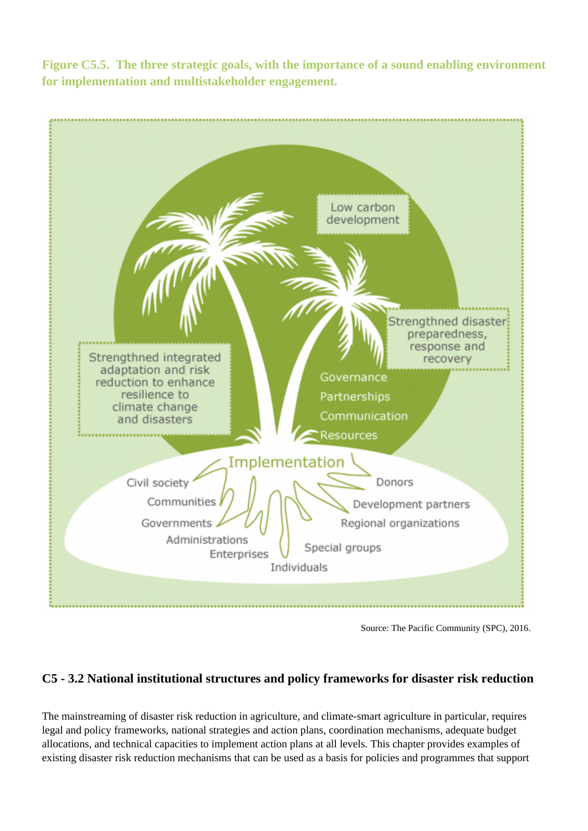**Figure C5.5. The three strategic goals, with the importance of a sound enabling environment for implementation and multistakeholder engagement.**



Source: The Pacific Community (SPC), 2016.

## **C5 - 3.2 National institutional structures and policy frameworks for disaster risk reduction**

The mainstreaming of disaster risk reduction in agriculture, and climate-smart agriculture in particular, requires legal and policy frameworks, national strategies and action plans, coordination mechanisms, adequate budget allocations, and technical capacities to implement action plans at all levels. This chapter provides examples of existing disaster risk reduction mechanisms that can be used as a basis for policies and programmes that support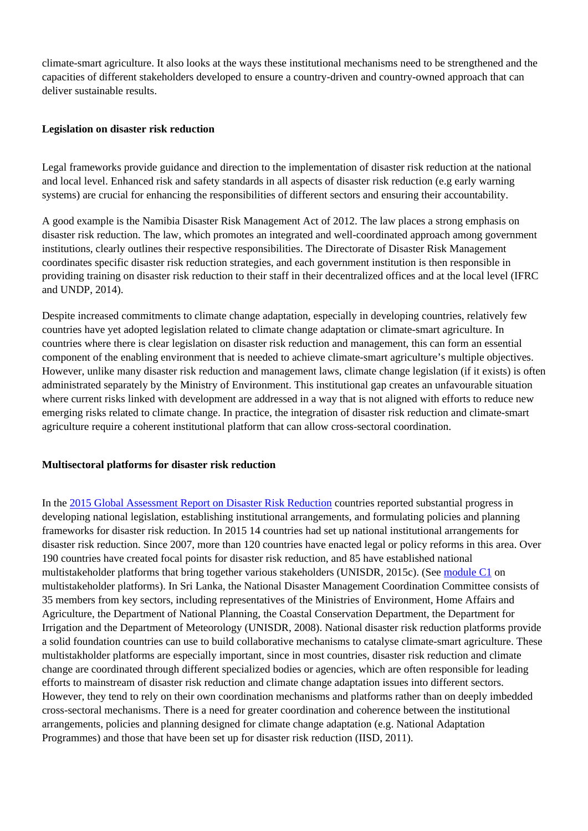climate-smart agriculture. It also looks at the ways these institutional mechanisms need to be strengthened and the capacities of different stakeholders developed to ensure a country-driven and country-owned approach that can deliver sustainable results.

#### **Legislation on disaster risk reduction**

Legal frameworks provide guidance and direction to the implementation of disaster risk reduction at the national and local level. Enhanced risk and safety standards in all aspects of disaster risk reduction (e.g early warning systems) are crucial for enhancing the responsibilities of different sectors and ensuring their accountability.

A good example is the Namibia Disaster Risk Management Act of 2012. The law places a strong emphasis on disaster risk reduction. The law, which promotes an integrated and well-coordinated approach among government institutions, clearly outlines their respective responsibilities. The Directorate of Disaster Risk Management coordinates specific disaster risk reduction strategies, and each government institution is then responsible in providing training on disaster risk reduction to their staff in their decentralized offices and at the local level (IFRC and UNDP, 2014).

Despite increased commitments to climate change adaptation, especially in developing countries, relatively few countries have yet adopted legislation related to climate change adaptation or climate-smart agriculture. In countries where there is clear legislation on disaster risk reduction and management, this can form an essential component of the enabling environment that is needed to achieve climate-smart agriculture's multiple objectives. However, unlike many disaster risk reduction and management laws, climate change legislation (if it exists) is often administrated separately by the Ministry of Environment. This institutional gap creates an unfavourable situation where current risks linked with development are addressed in a way that is not aligned with efforts to reduce new emerging risks related to climate change. In practice, the integration of disaster risk reduction and climate-smart agriculture require a coherent institutional platform that can allow cross-sectoral coordination.

#### **Multisectoral platforms for disaster risk reduction**

In the [2015 Global Assessment Report on Disaster Risk Reduction](http://www.preventionweb.net/english/hyogo/gar/2015/en/home/index.html) countries reported substantial progress in developing national legislation, establishing institutional arrangements, and formulating policies and planning frameworks for disaster risk reduction. In 2015 14 countries had set up national institutional arrangements for disaster risk reduction. Since 2007, more than 120 countries have enacted legal or policy reforms in this area. Over 190 countries have created focal points for disaster risk reduction, and 85 have established national multistakeholder platforms that bring together various stakeholders (UNISDR, 2015c). (See [module C1](http://www.fao.org/climate-smart-agriculture-sourcebook/enabling-frameworks/module-c1-capacity-development/c1-overview/en/) on multistakeholder platforms). In Sri Lanka, the National Disaster Management Coordination Committee consists of 35 members from key sectors, including representatives of the Ministries of Environment, Home Affairs and Agriculture, the Department of National Planning, the Coastal Conservation Department, the Department for Irrigation and the Department of Meteorology (UNISDR, 2008). National disaster risk reduction platforms provide a solid foundation countries can use to build collaborative mechanisms to catalyse climate-smart agriculture. These multistakholder platforms are especially important, since in most countries, disaster risk reduction and climate change are coordinated through different specialized bodies or agencies, which are often responsible for leading efforts to mainstream of disaster risk reduction and climate change adaptation issues into different sectors. However, they tend to rely on their own coordination mechanisms and platforms rather than on deeply imbedded cross-sectoral mechanisms. There is a need for greater coordination and coherence between the institutional arrangements, policies and planning designed for climate change adaptation (e.g. National Adaptation Programmes) and those that have been set up for disaster risk reduction (IISD, 2011).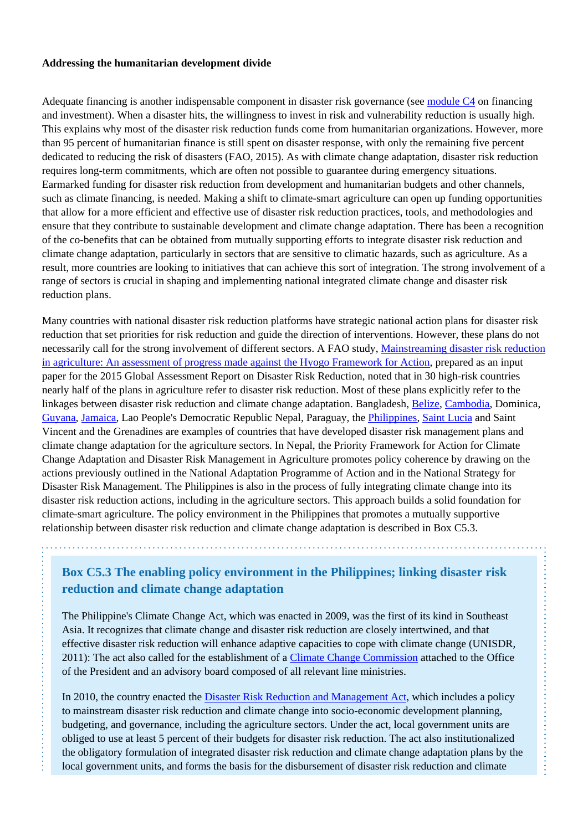#### **Addressing the humanitarian development divide**

Adequate financing is another indispensable component in disaster risk governance (see [module C4](http://www.fao.org/climate-smart-agriculture-sourcebook/enabling-frameworks/module-c4-finance/c4-overview/en/) on financing and investment). When a disaster hits, the willingness to invest in risk and vulnerability reduction is usually high. This explains why most of the disaster risk reduction funds come from humanitarian organizations. However, more than 95 percent of humanitarian finance is still spent on disaster response, with only the remaining five percent dedicated to reducing the risk of disasters (FAO, 2015). As with climate change adaptation, disaster risk reduction requires long-term commitments, which are often not possible to guarantee during emergency situations. Earmarked funding for disaster risk reduction from development and humanitarian budgets and other channels, such as climate financing, is needed. Making a shift to climate-smart agriculture can open up funding opportunities that allow for a more efficient and effective use of disaster risk reduction practices, tools, and methodologies and ensure that they contribute to sustainable development and climate change adaptation. There has been a recognition of the co-benefits that can be obtained from mutually supporting efforts to integrate disaster risk reduction and climate change adaptation, particularly in sectors that are sensitive to climatic hazards, such as agriculture. As a result, more countries are looking to initiatives that can achieve this sort of integration. The strong involvement of a range of sectors is crucial in shaping and implementing national integrated climate change and disaster risk reduction plans.

Many countries with national disaster risk reduction platforms have strategic national action plans for disaster risk reduction that set priorities for risk reduction and guide the direction of interventions. However, these plans do not necessarily call for the strong involvement of different sectors. A FAO study, [Mainstreaming disaster risk reduction](https://www.unisdr.org/we/inform/publications/50388) [in agriculture: An assessment of progress made against the Hyogo Framework for Action](https://www.unisdr.org/we/inform/publications/50388), prepared as an input paper for the 2015 Global Assessment Report on Disaster Risk Reduction, noted that in 30 high-risk countries nearly half of the plans in agriculture refer to disaster risk reduction. Most of these plans explicitly refer to the linkages between disaster risk reduction and climate change adaptation. Bangladesh, [Belize](http://www.fao.org/climatechange/29975-0236c2c8f876fc3e77a354a7a4585df01.pdf), [Cambodia,](http://www-test.fao.org/http://:) Dominica, [Guyana,](http://www.un.org.gy/index.php?option=com_k2&view=item&id=144:disaster-risk-management-plan-for-the-agriculture-sector-2013-2018&Itemid=740) [Jamaica,](http://www.ccam.org.jm/publications/agriculture-disaster-risk-management-plan-rocky-point-clarendon) Lao People's Democratic Republic Nepal, Paraguay, the [Philippines](http://bicol.da.gov.ph/images/Bicol_Plan_of_Action_for_DRR_in_Agriculture%20(Bicol_DIPECHO).pdf), [Saint Lucia](http://www.fao.org/climatechange/32715-063749da6a00a2bba0e843260256f61b7.pdf) and Saint Vincent and the Grenadines are examples of countries that have developed disaster risk management plans and climate change adaptation for the agriculture sectors. In Nepal, the Priority Framework for Action for Climate Change Adaptation and Disaster Risk Management in Agriculture promotes policy coherence by drawing on the actions previously outlined in the National Adaptation Programme of Action and in the National Strategy for Disaster Risk Management. The Philippines is also in the process of fully integrating climate change into its disaster risk reduction actions, including in the agriculture sectors. This approach builds a solid foundation for climate-smart agriculture. The policy environment in the Philippines that promotes a mutually supportive relationship between disaster risk reduction and climate change adaptation is described in Box C5.3.

**Box C5.3 The enabling policy environment in the Philippines; linking disaster risk reduction and climate change adaptation**

The Philippine's Climate Change Act, which was enacted in 2009, was the first of its kind in Southeast Asia. It recognizes that climate change and disaster risk reduction are closely intertwined, and that effective disaster risk reduction will enhance adaptive capacities to cope with climate change (UNISDR, 2011): The act also called for the establishment of a [Climate Change Commission](http://climate.gov.ph/) attached to the Office of the President and an advisory board composed of all relevant line ministries.

In 2010, the country enacted the [Disaster Risk Reduction and Management Act,](http://www.preventionweb.net/english/professional/policies/v.php?id=22035) which includes a policy to mainstream disaster risk reduction and climate change into socio-economic development planning, budgeting, and governance, including the agriculture sectors. Under the act, local government units are obliged to use at least 5 percent of their budgets for disaster risk reduction. The act also institutionalized the obligatory formulation of integrated disaster risk reduction and climate change adaptation plans by the local government units, and forms the basis for the disbursement of disaster risk reduction and climate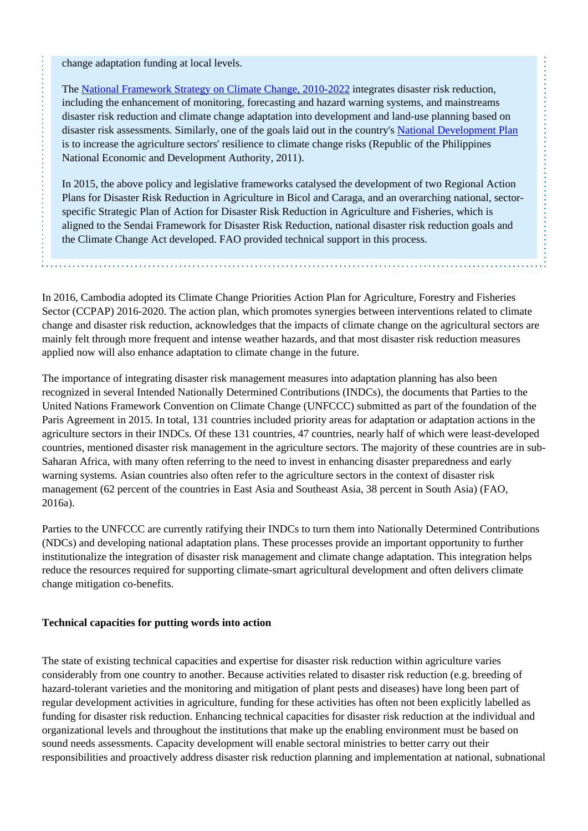change adaptation funding at local levels.

The [National Framework Strategy on Climate Change, 2010-2022](http://www.asialeds.org/resource/philippines-national-framework-strategy-on-climate-change-2010-2022/) integrates disaster risk reduction, including the enhancement of monitoring, forecasting and hazard warning systems, and mainstreams disaster risk reduction and climate change adaptation into development and land-use planning based on disaster risk assessments. Similarly, one of the goals laid out in the country's [National Development Plan](http://www.neda.gov.ph/2013/10/21/philippine-development-plan-2011-2016/) is to increase the agriculture sectors' resilience to climate change risks (Republic of the Philippines National Economic and Development Authority, 2011).

In 2015, the above policy and legislative frameworks catalysed the development of two Regional Action Plans for Disaster Risk Reduction in Agriculture in Bicol and Caraga, and an overarching national, sectorspecific Strategic Plan of Action for Disaster Risk Reduction in Agriculture and Fisheries, which is aligned to the Sendai Framework for Disaster Risk Reduction, national disaster risk reduction goals and the Climate Change Act developed. FAO provided technical support in this process.

In 2016, Cambodia adopted its Climate Change Priorities Action Plan for Agriculture, Forestry and Fisheries Sector (CCPAP) 2016-2020. The action plan, which promotes synergies between interventions related to climate change and disaster risk reduction, acknowledges that the impacts of climate change on the agricultural sectors are mainly felt through more frequent and intense weather hazards, and that most disaster risk reduction measures applied now will also enhance adaptation to climate change in the future.

The importance of integrating disaster risk management measures into adaptation planning has also been recognized in several Intended Nationally Determined Contributions (INDCs), the documents that Parties to the United Nations Framework Convention on Climate Change (UNFCCC) submitted as part of the foundation of the Paris Agreement in 2015. In total, 131 countries included priority areas for adaptation or adaptation actions in the agriculture sectors in their INDCs. Of these 131 countries, 47 countries, nearly half of which were least-developed countries, mentioned disaster risk management in the agriculture sectors. The majority of these countries are in sub-Saharan Africa, with many often referring to the need to invest in enhancing disaster preparedness and early warning systems. Asian countries also often refer to the agriculture sectors in the context of disaster risk management (62 percent of the countries in East Asia and Southeast Asia, 38 percent in South Asia) (FAO, 2016a).

Parties to the UNFCCC are currently ratifying their INDCs to turn them into Nationally Determined Contributions (NDCs) and developing national adaptation plans. These processes provide an important opportunity to further institutionalize the integration of disaster risk management and climate change adaptation. This integration helps reduce the resources required for supporting climate-smart agricultural development and often delivers climate change mitigation co-benefits.

#### **Technical capacities for putting words into action**

The state of existing technical capacities and expertise for disaster risk reduction within agriculture varies considerably from one country to another. Because activities related to disaster risk reduction (e.g. breeding of hazard-tolerant varieties and the monitoring and mitigation of plant pests and diseases) have long been part of regular development activities in agriculture, funding for these activities has often not been explicitly labelled as funding for disaster risk reduction. Enhancing technical capacities for disaster risk reduction at the individual and organizational levels and throughout the institutions that make up the enabling environment must be based on sound needs assessments. Capacity development will enable sectoral ministries to better carry out their responsibilities and proactively address disaster risk reduction planning and implementation at national, subnational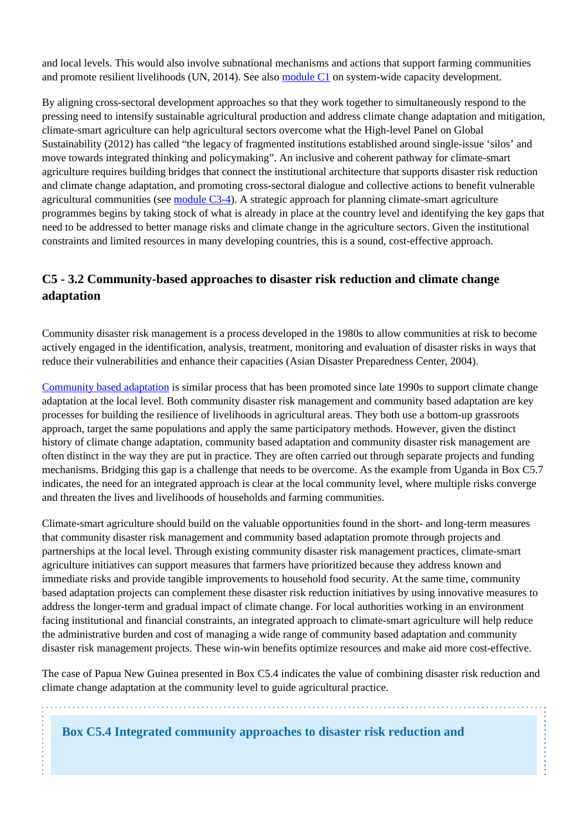and local levels. This would also involve subnational mechanisms and actions that support farming communities and promote resilient livelihoods (UN, 2014). See also [module C1](http://www.fao.org/climate-smart-agriculture-sourcebook/enabling-frameworks/module-c1-capacity-development/c1-overview/en/) on system-wide capacity development.

By aligning cross-sectoral development approaches so that they work together to simultaneously respond to the pressing need to intensify sustainable agricultural production and address climate change adaptation and mitigation, climate-smart agriculture can help agricultural sectors overcome what the High-level Panel on Global Sustainability (2012) has called "the legacy of fragmented institutions established around single-issue 'silos' and move towards integrated thinking and policymaking". An inclusive and coherent pathway for climate-smart agriculture requires building bridges that connect the institutional architecture that supports disaster risk reduction and climate change adaptation, and promoting cross-sectoral dialogue and collective actions to benefit vulnerable agricultural communities (see [module C3-4\)](http://www.fao.org/climate-smart-agriculture-sourcebook/enabling-frameworks/module-c3-policy/chapter-c3-4/en/). A strategic approach for planning climate-smart agriculture programmes begins by taking stock of what is already in place at the country level and identifying the key gaps that need to be addressed to better manage risks and climate change in the agriculture sectors. Given the institutional constraints and limited resources in many developing countries, this is a sound, cost-effective approach.

## **C5 - 3.2 Community-based approaches to disaster risk reduction and climate change adaptation**

Community disaster risk management is a process developed in the 1980s to allow communities at risk to become actively engaged in the identification, analysis, treatment, monitoring and evaluation of disaster risks in ways that reduce their vulnerabilities and enhance their capacities (Asian Disaster Preparedness Center, 2004).

[Community based adaptation](http://www.fao.org/climatechange/67624/en/) is similar process that has been promoted since late 1990s to support climate change adaptation at the local level. Both community disaster risk management and community based adaptation are key processes for building the resilience of livelihoods in agricultural areas. They both use a bottom-up grassroots approach, target the same populations and apply the same participatory methods. However, given the distinct history of climate change adaptation, community based adaptation and community disaster risk management are often distinct in the way they are put in practice. They are often carried out through separate projects and funding mechanisms. Bridging this gap is a challenge that needs to be overcome. As the example from Uganda in Box C5.7 indicates, the need for an integrated approach is clear at the local community level, where multiple risks converge and threaten the lives and livelihoods of households and farming communities.

Climate-smart agriculture should build on the valuable opportunities found in the short- and long-term measures that community disaster risk management and community based adaptation promote through projects and partnerships at the local level. Through existing community disaster risk management practices, climate-smart agriculture initiatives can support measures that farmers have prioritized because they address known and immediate risks and provide tangible improvements to household food security. At the same time, community based adaptation projects can complement these disaster risk reduction initiatives by using innovative measures to address the longer-term and gradual impact of climate change. For local authorities working in an environment facing institutional and financial constraints, an integrated approach to climate-smart agriculture will help reduce the administrative burden and cost of managing a wide range of community based adaptation and community disaster risk management projects. These win-win benefits optimize resources and make aid more cost-effective.

The case of Papua New Guinea presented in Box C5.4 indicates the value of combining disaster risk reduction and climate change adaptation at the community level to guide agricultural practice.

**Box C5.4 Integrated community approaches to disaster risk reduction and**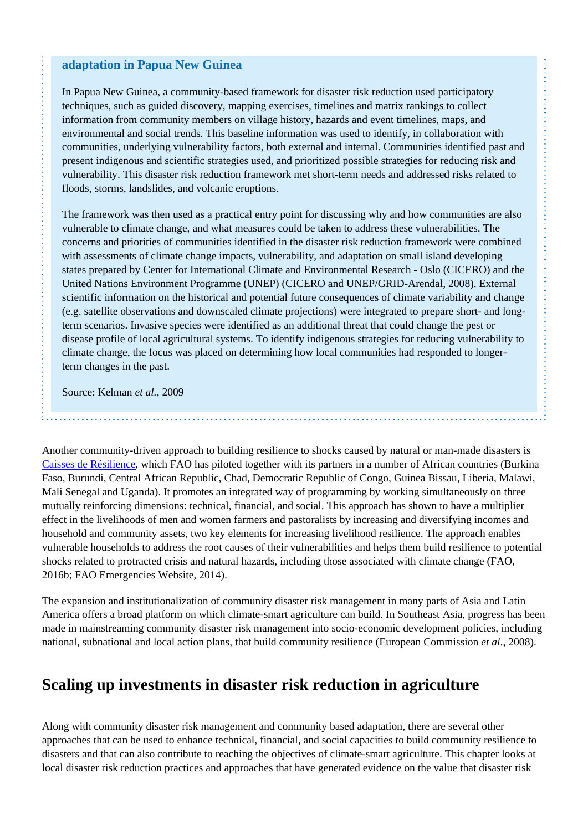#### **adaptation in Papua New Guinea**

In Papua New Guinea, a community-based framework for disaster risk reduction used participatory techniques, such as guided discovery, mapping exercises, timelines and matrix rankings to collect information from community members on village history, hazards and event timelines, maps, and environmental and social trends. This baseline information was used to identify, in collaboration with communities, underlying vulnerability factors, both external and internal. Communities identified past and present indigenous and scientific strategies used, and prioritized possible strategies for reducing risk and vulnerability. This disaster risk reduction framework met short-term needs and addressed risks related to floods, storms, landslides, and volcanic eruptions.

The framework was then used as a practical entry point for discussing why and how communities are also vulnerable to climate change, and what measures could be taken to address these vulnerabilities. The concerns and priorities of communities identified in the disaster risk reduction framework were combined with assessments of climate change impacts, vulnerability, and adaptation on small island developing states prepared by Center for International Climate and Environmental Research - Oslo (CICERO) and the United Nations Environment Programme (UNEP) (CICERO and UNEP/GRID-Arendal, 2008). External scientific information on the historical and potential future consequences of climate variability and change (e.g. satellite observations and downscaled climate projections) were integrated to prepare short- and longterm scenarios. Invasive species were identified as an additional threat that could change the pest or disease profile of local agricultural systems. To identify indigenous strategies for reducing vulnerability to climate change, the focus was placed on determining how local communities had responded to longerterm changes in the past.

Source: Kelman *et al.*, 2009

Another community-driven approach to building resilience to shocks caused by natural or man-made disasters is [Caisses de Résilience](http://www.fao.org/publications/card/en/c/2067d815-364f-4ef1-b179-95d4ea438116/), which FAO has piloted together with its partners in a number of African countries (Burkina Faso, Burundi, Central African Republic, Chad, Democratic Republic of Congo, Guinea Bissau, Liberia, Malawi, Mali Senegal and Uganda). It promotes an integrated way of programming by working simultaneously on three mutually reinforcing dimensions: technical, financial, and social. This approach has shown to have a multiplier effect in the livelihoods of men and women farmers and pastoralists by increasing and diversifying incomes and household and community assets, two key elements for increasing livelihood resilience. The approach enables vulnerable households to address the root causes of their vulnerabilities and helps them build resilience to potential shocks related to protracted crisis and natural hazards, including those associated with climate change (FAO, 2016b; FAO Emergencies Website, 2014).

The expansion and institutionalization of community disaster risk management in many parts of Asia and Latin America offers a broad platform on which climate-smart agriculture can build. In Southeast Asia, progress has been made in mainstreaming community disaster risk management into socio-economic development policies, including national, subnational and local action plans, that build community resilience (European Commission *et al*., 2008).

# **Scaling up investments in disaster risk reduction in agriculture**

Along with community disaster risk management and community based adaptation, there are several other approaches that can be used to enhance technical, financial, and social capacities to build community resilience to disasters and that can also contribute to reaching the objectives of climate-smart agriculture. This chapter looks at local disaster risk reduction practices and approaches that have generated evidence on the value that disaster risk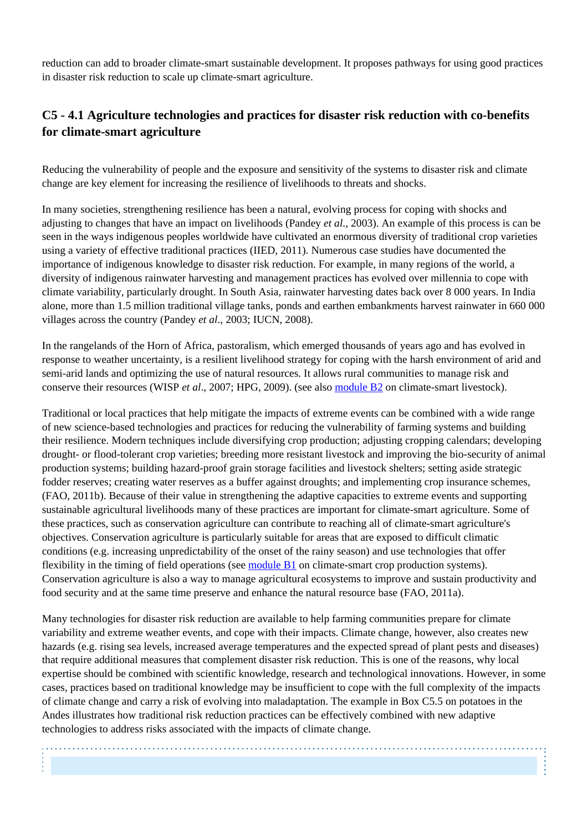reduction can add to broader climate-smart sustainable development. It proposes pathways for using good practices in disaster risk reduction to scale up climate-smart agriculture.

## **C5 - 4.1 Agriculture technologies and practices for disaster risk reduction with co-benefits for climate-smart agriculture**

Reducing the vulnerability of people and the exposure and sensitivity of the systems to disaster risk and climate change are key element for increasing the resilience of livelihoods to threats and shocks.

In many societies, strengthening resilience has been a natural, evolving process for coping with shocks and adjusting to changes that have an impact on livelihoods (Pandey *et al*., 2003). An example of this process is can be seen in the ways indigenous peoples worldwide have cultivated an enormous diversity of traditional crop varieties using a variety of effective traditional practices (IIED, 2011). Numerous case studies have documented the importance of indigenous knowledge to disaster risk reduction. For example, in many regions of the world, a diversity of indigenous rainwater harvesting and management practices has evolved over millennia to cope with climate variability, particularly drought. In South Asia, rainwater harvesting dates back over 8 000 years. In India alone, more than 1.5 million traditional village tanks, ponds and earthen embankments harvest rainwater in 660 000 villages across the country (Pandey *et al*., 2003; IUCN, 2008).

In the rangelands of the Horn of Africa, pastoralism, which emerged thousands of years ago and has evolved in response to weather uncertainty, is a resilient livelihood strategy for coping with the harsh environment of arid and semi-arid lands and optimizing the use of natural resources. It allows rural communities to manage risk and conserve their resources (WISP *et al*., 2007; HPG, 2009). (see also [module B2](http://www.fao.org/climate-smart-agriculture-sourcebook/production-resources/module-b2-livestock/b2-overview/en/) on climate-smart livestock).

Traditional or local practices that help mitigate the impacts of extreme events can be combined with a wide range of new science-based technologies and practices for reducing the vulnerability of farming systems and building their resilience. Modern techniques include diversifying crop production; adjusting cropping calendars; developing drought- or flood-tolerant crop varieties; breeding more resistant livestock and improving the bio-security of animal production systems; building hazard-proof grain storage facilities and livestock shelters; setting aside strategic fodder reserves; creating water reserves as a buffer against droughts; and implementing crop insurance schemes, (FAO, 2011b). Because of their value in strengthening the adaptive capacities to extreme events and supporting sustainable agricultural livelihoods many of these practices are important for climate-smart agriculture. Some of these practices, such as conservation agriculture can contribute to reaching all of climate-smart agriculture's objectives. Conservation agriculture is particularly suitable for areas that are exposed to difficult climatic conditions (e.g. increasing unpredictability of the onset of the rainy season) and use technologies that offer flexibility in the timing of field operations (see [module B1](http://www.fao.org/climate-smart-agriculture-sourcebook/production-resources/module-b1-crops/b1-overview/en/) on climate-smart crop production systems). Conservation agriculture is also a way to manage agricultural ecosystems to improve and sustain productivity and food security and at the same time preserve and enhance the natural resource base (FAO, 2011a).

Many technologies for disaster risk reduction are available to help farming communities prepare for climate variability and extreme weather events, and cope with their impacts. Climate change, however, also creates new hazards (e.g. rising sea levels, increased average temperatures and the expected spread of plant pests and diseases) that require additional measures that complement disaster risk reduction. This is one of the reasons, why local expertise should be combined with scientific knowledge, research and technological innovations. However, in some cases, practices based on traditional knowledge may be insufficient to cope with the full complexity of the impacts of climate change and carry a risk of evolving into maladaptation. The example in Box C5.5 on potatoes in the Andes illustrates how traditional risk reduction practices can be effectively combined with new adaptive technologies to address risks associated with the impacts of climate change.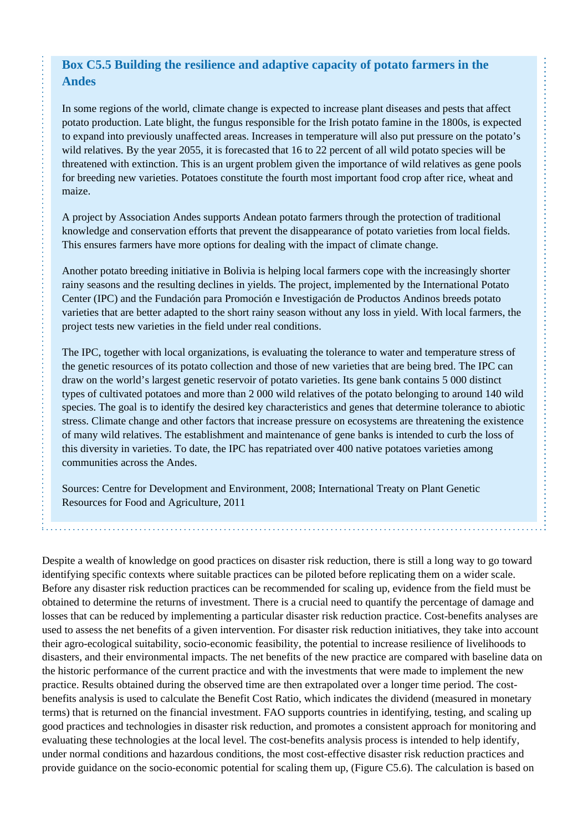## **Box C5.5 Building the resilience and adaptive capacity of potato farmers in the Andes**

In some regions of the world, climate change is expected to increase plant diseases and pests that affect potato production. Late blight, the fungus responsible for the Irish potato famine in the 1800s, is expected to expand into previously unaffected areas. Increases in temperature will also put pressure on the potato's wild relatives. By the year 2055, it is forecasted that 16 to 22 percent of all wild potato species will be threatened with extinction. This is an urgent problem given the importance of wild relatives as gene pools for breeding new varieties. Potatoes constitute the fourth most important food crop after rice, wheat and maize.

A project by Association Andes supports Andean potato farmers through the protection of traditional knowledge and conservation efforts that prevent the disappearance of potato varieties from local fields. This ensures farmers have more options for dealing with the impact of climate change.

Another potato breeding initiative in Bolivia is helping local farmers cope with the increasingly shorter rainy seasons and the resulting declines in yields. The project, implemented by the International Potato Center (IPC) and the Fundación para Promoción e Investigación de Productos Andinos breeds potato varieties that are better adapted to the short rainy season without any loss in yield. With local farmers, the project tests new varieties in the field under real conditions.

The IPC, together with local organizations, is evaluating the tolerance to water and temperature stress of the genetic resources of its potato collection and those of new varieties that are being bred. The IPC can draw on the world's largest genetic reservoir of potato varieties. Its gene bank contains 5 000 distinct types of cultivated potatoes and more than 2 000 wild relatives of the potato belonging to around 140 wild species. The goal is to identify the desired key characteristics and genes that determine tolerance to abiotic stress. Climate change and other factors that increase pressure on ecosystems are threatening the existence of many wild relatives. The establishment and maintenance of gene banks is intended to curb the loss of this diversity in varieties. To date, the IPC has repatriated over 400 native potatoes varieties among communities across the Andes.

Sources: Centre for Development and Environment, 2008; International Treaty on Plant Genetic Resources for Food and Agriculture, 2011

Despite a wealth of knowledge on good practices on disaster risk reduction, there is still a long way to go toward identifying specific contexts where suitable practices can be piloted before replicating them on a wider scale. Before any disaster risk reduction practices can be recommended for scaling up, evidence from the field must be obtained to determine the returns of investment. There is a crucial need to quantify the percentage of damage and losses that can be reduced by implementing a particular disaster risk reduction practice. Cost-benefits analyses are used to assess the net benefits of a given intervention. For disaster risk reduction initiatives, they take into account their agro-ecological suitability, socio-economic feasibility, the potential to increase resilience of livelihoods to disasters, and their environmental impacts. The net benefits of the new practice are compared with baseline data on the historic performance of the current practice and with the investments that were made to implement the new practice. Results obtained during the observed time are then extrapolated over a longer time period. The costbenefits analysis is used to calculate the Benefit Cost Ratio, which indicates the dividend (measured in monetary terms) that is returned on the financial investment. FAO supports countries in identifying, testing, and scaling up good practices and technologies in disaster risk reduction, and promotes a consistent approach for monitoring and evaluating these technologies at the local level. The cost-benefits analysis process is intended to help identify, under normal conditions and hazardous conditions, the most cost-effective disaster risk reduction practices and provide guidance on the socio-economic potential for scaling them up, (Figure C5.6). The calculation is based on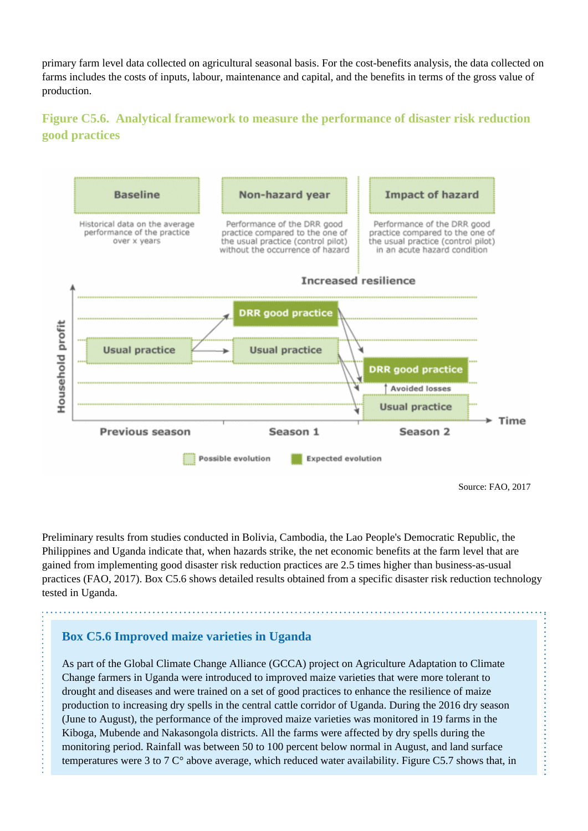primary farm level data collected on agricultural seasonal basis. For the cost-benefits analysis, the data collected on farms includes the costs of inputs, labour, maintenance and capital, and the benefits in terms of the gross value of production.

## **Figure C5.6. Analytical framework to measure the performance of disaster risk reduction good practices**



Preliminary results from studies conducted in Bolivia, Cambodia, the Lao People's Democratic Republic, the Philippines and Uganda indicate that, when hazards strike, the net economic benefits at the farm level that are gained from implementing good disaster risk reduction practices are 2.5 times higher than business-as-usual practices (FAO, 2017). Box C5.6 shows detailed results obtained from a specific disaster risk reduction technology tested in Uganda.

#### **Box C5.6 Improved maize varieties in Uganda**

As part of the Global Climate Change Alliance (GCCA) project on Agriculture Adaptation to Climate Change farmers in Uganda were introduced to improved maize varieties that were more tolerant to drought and diseases and were trained on a set of good practices to enhance the resilience of maize production to increasing dry spells in the central cattle corridor of Uganda. During the 2016 dry season (June to August), the performance of the improved maize varieties was monitored in 19 farms in the Kiboga, Mubende and Nakasongola districts. All the farms were affected by dry spells during the monitoring period. Rainfall was between 50 to 100 percent below normal in August, and land surface temperatures were 3 to 7 C° above average, which reduced water availability. Figure C5.7 shows that, in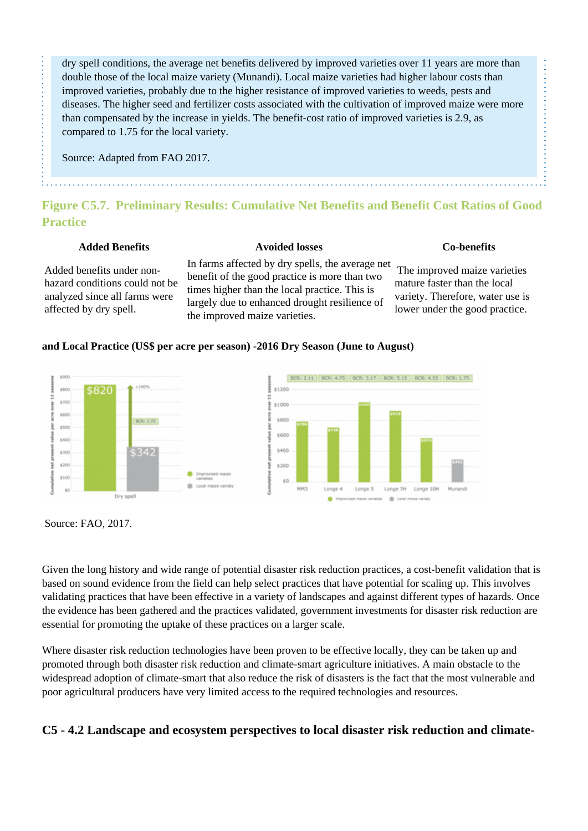dry spell conditions, the average net benefits delivered by improved varieties over 11 years are more than double those of the local maize variety (Munandi). Local maize varieties had higher labour costs than improved varieties, probably due to the higher resistance of improved varieties to weeds, pests and diseases. The higher seed and fertilizer costs associated with the cultivation of improved maize were more than compensated by the increase in yields. The benefit-cost ratio of improved varieties is 2.9, as compared to 1.75 for the local variety.

Source: Adapted from FAO 2017.

## **Figure C5.7. Preliminary Results: Cumulative Net Benefits and Benefit Cost Ratios of Good Practice**

#### **Added Benefits Avoided losses Co-benefits**

 The improved maize varieties mature faster than the local variety. Therefore, water use is lower under the good practice.

#### Added benefits under nonhazard conditions could not be analyzed since all farms were affected by dry spell.

In farms affected by dry spells, the average net benefit of the good practice is more than two times higher than the local practice. This is largely due to enhanced drought resilience of the improved maize varieties.

#### **and Local Practice (US\$ per acre per season) -2016 Dry Season (June to August)**



Source: FAO, 2017.

Given the long history and wide range of potential disaster risk reduction practices, a cost-benefit validation that is based on sound evidence from the field can help select practices that have potential for scaling up. This involves validating practices that have been effective in a variety of landscapes and against different types of hazards. Once the evidence has been gathered and the practices validated, government investments for disaster risk reduction are essential for promoting the uptake of these practices on a larger scale.

Where disaster risk reduction technologies have been proven to be effective locally, they can be taken up and promoted through both disaster risk reduction and climate-smart agriculture initiatives. A main obstacle to the widespread adoption of climate-smart that also reduce the risk of disasters is the fact that the most vulnerable and poor agricultural producers have very limited access to the required technologies and resources.

## **C5 - 4.2 Landscape and ecosystem perspectives to local disaster risk reduction and climate-**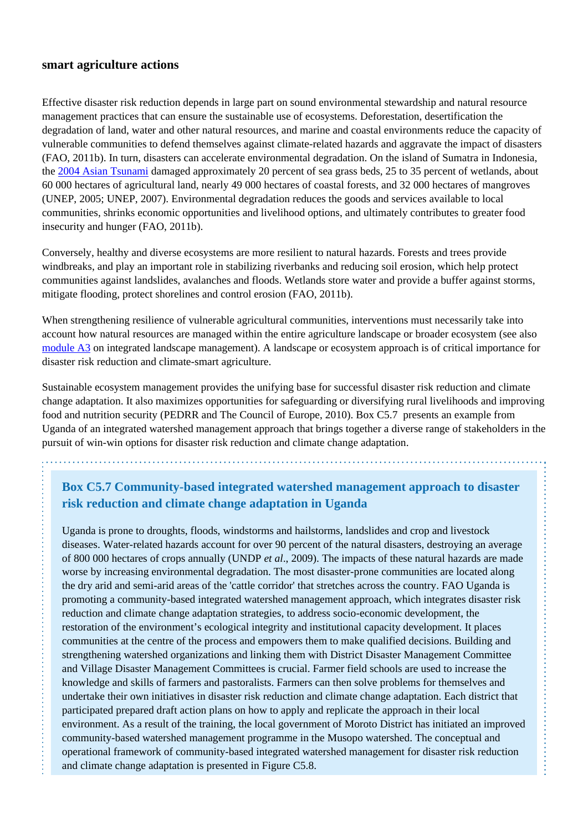#### **smart agriculture actions**

Effective disaster risk reduction depends in large part on sound environmental stewardship and natural resource management practices that can ensure the sustainable use of ecosystems. Deforestation, desertification the degradation of land, water and other natural resources, and marine and coastal environments reduce the capacity of vulnerable communities to defend themselves against climate-related hazards and aggravate the impact of disasters (FAO, 2011b). In turn, disasters can accelerate environmental degradation. On the island of Sumatra in Indonesia, the [2004 Asian Tsunami](http://www.fao.org/emergencies/crisis/asian-tsunami/en/) damaged approximately 20 percent of sea grass beds, 25 to 35 percent of wetlands, about 60 000 hectares of agricultural land, nearly 49 000 hectares of coastal forests, and 32 000 hectares of mangroves (UNEP, 2005; UNEP, 2007). Environmental degradation reduces the goods and services available to local communities, shrinks economic opportunities and livelihood options, and ultimately contributes to greater food insecurity and hunger (FAO, 2011b).

Conversely, healthy and diverse ecosystems are more resilient to natural hazards. Forests and trees provide windbreaks, and play an important role in stabilizing riverbanks and reducing soil erosion, which help protect communities against landslides, avalanches and floods. Wetlands store water and provide a buffer against storms, mitigate flooding, protect shorelines and control erosion (FAO, 2011b).

When strengthening resilience of vulnerable agricultural communities, interventions must necessarily take into account how natural resources are managed within the entire agriculture landscape or broader ecosystem (see also [module A3](http://www.fao.org/climate-smart-agriculture-sourcebook/concept/module-a3-landscapes/a3-overview/en/) on integrated landscape management). A landscape or ecosystem approach is of critical importance for disaster risk reduction and climate-smart agriculture.

Sustainable ecosystem management provides the unifying base for successful disaster risk reduction and climate change adaptation. It also maximizes opportunities for safeguarding or diversifying rural livelihoods and improving food and nutrition security (PEDRR and The Council of Europe, 2010). Box C5.7 presents an example from Uganda of an integrated watershed management approach that brings together a diverse range of stakeholders in the pursuit of win-win options for disaster risk reduction and climate change adaptation.

## **Box C5.7 Community-based integrated watershed management approach to disaster risk reduction and climate change adaptation in Uganda**

Uganda is prone to droughts, floods, windstorms and hailstorms, landslides and crop and livestock diseases. Water-related hazards account for over 90 percent of the natural disasters, destroying an average of 800 000 hectares of crops annually (UNDP *et al*., 2009). The impacts of these natural hazards are made worse by increasing environmental degradation. The most disaster-prone communities are located along the dry arid and semi-arid areas of the 'cattle corridor' that stretches across the country. FAO Uganda is promoting a community-based integrated watershed management approach, which integrates disaster risk reduction and climate change adaptation strategies, to address socio-economic development, the restoration of the environment's ecological integrity and institutional capacity development. It places communities at the centre of the process and empowers them to make qualified decisions. Building and strengthening watershed organizations and linking them with District Disaster Management Committee and Village Disaster Management Committees is crucial. Farmer field schools are used to increase the knowledge and skills of farmers and pastoralists. Farmers can then solve problems for themselves and undertake their own initiatives in disaster risk reduction and climate change adaptation. Each district that participated prepared draft action plans on how to apply and replicate the approach in their local environment. As a result of the training, the local government of Moroto District has initiated an improved community-based watershed management programme in the Musopo watershed. The conceptual and operational framework of community-based integrated watershed management for disaster risk reduction and climate change adaptation is presented in Figure C5.8.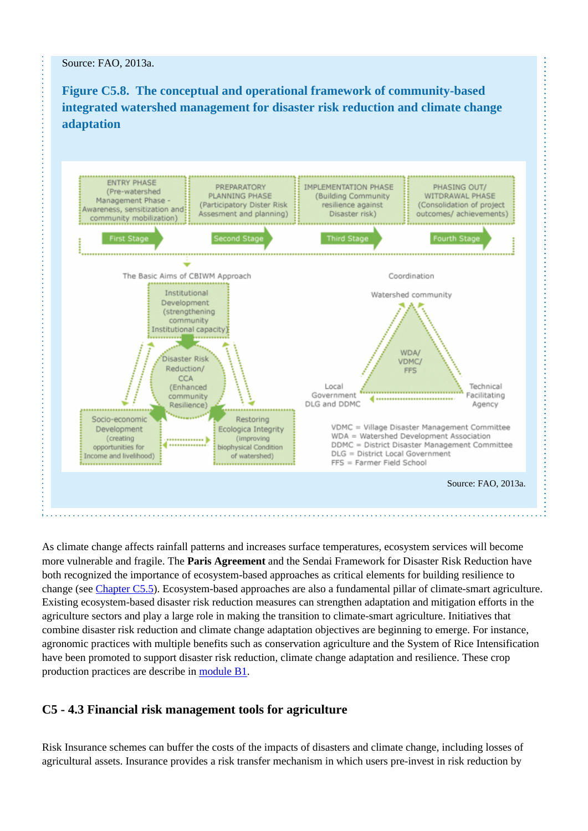Source: FAO, 2013a.

**Figure C5.8. The conceptual and operational framework of community-based integrated watershed management for disaster risk reduction and climate change adaptation**



As climate change affects rainfall patterns and increases surface temperatures, ecosystem services will become more vulnerable and fragile. The **Paris Agreement** and the Sendai Framework for Disaster Risk Reduction have both recognized the importance of ecosystem-based approaches as critical elements for building resilience to change (see [Chapter C5.5\)](http://www.fao.org/climate-smart-agriculture-sourcebook/enabling-frameworks/module-c5-climate-resilience/chapter-c5-5/en/). Ecosystem-based approaches are also a fundamental pillar of climate-smart agriculture. Existing ecosystem-based disaster risk reduction measures can strengthen adaptation and mitigation efforts in the agriculture sectors and play a large role in making the transition to climate-smart agriculture. Initiatives that combine disaster risk reduction and climate change adaptation objectives are beginning to emerge. For instance, agronomic practices with multiple benefits such as conservation agriculture and the System of Rice Intensification have been promoted to support disaster risk reduction, climate change adaptation and resilience. These crop production practices are describe in [module B1](http://www.fao.org/climate-smart-agriculture-sourcebook/production-resources/module-b1-crops/b1-overview/en/).

## **C5 - 4.3 Financial risk management tools for agriculture**

Risk Insurance schemes can buffer the costs of the impacts of disasters and climate change, including losses of agricultural assets. Insurance provides a risk transfer mechanism in which users pre-invest in risk reduction by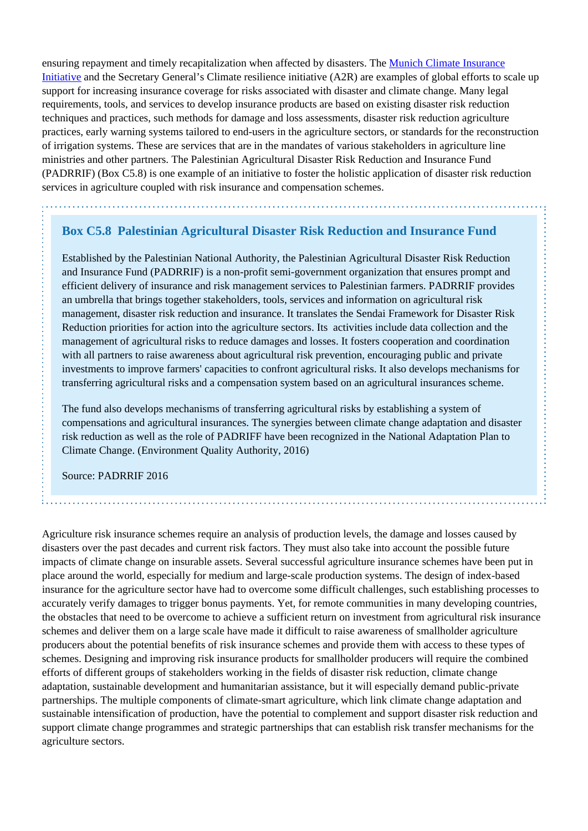ensuring repayment and timely recapitalization when affected by disasters. The [Munich Climate Insurance](http://www.climate-insurance.org/home/) [Initiative](http://www.climate-insurance.org/home/) and the Secretary General's Climate resilience initiative (A2R) are examples of global efforts to scale up support for increasing insurance coverage for risks associated with disaster and climate change. Many legal requirements, tools, and services to develop insurance products are based on existing disaster risk reduction techniques and practices, such methods for damage and loss assessments, disaster risk reduction agriculture practices, early warning systems tailored to end-users in the agriculture sectors, or standards for the reconstruction of irrigation systems. These are services that are in the mandates of various stakeholders in agriculture line ministries and other partners. The Palestinian Agricultural Disaster Risk Reduction and Insurance Fund (PADRRIF) (Box C5.8) is one example of an initiative to foster the holistic application of disaster risk reduction services in agriculture coupled with risk insurance and compensation schemes.

#### **Box C5.8 Palestinian Agricultural Disaster Risk Reduction and Insurance Fund**

Established by the Palestinian National Authority, the Palestinian Agricultural Disaster Risk Reduction and Insurance Fund (PADRRIF) is a non-profit semi-government organization that ensures prompt and efficient delivery of insurance and risk management services to Palestinian farmers. PADRRIF provides an umbrella that brings together stakeholders, tools, services and information on agricultural risk management, disaster risk reduction and insurance. It translates the Sendai Framework for Disaster Risk Reduction priorities for action into the agriculture sectors. Its activities include data collection and the management of agricultural risks to reduce damages and losses. It fosters cooperation and coordination with all partners to raise awareness about agricultural risk prevention, encouraging public and private investments to improve farmers' capacities to confront agricultural risks. It also develops mechanisms for transferring agricultural risks and a compensation system based on an agricultural insurances scheme.

The fund also develops mechanisms of transferring agricultural risks by establishing a system of compensations and agricultural insurances. The synergies between climate change adaptation and disaster risk reduction as well as the role of PADRIFF have been recognized in the National Adaptation Plan to Climate Change. (Environment Quality Authority, 2016)

Source: PADRRIF 2016

Agriculture risk insurance schemes require an analysis of production levels, the damage and losses caused by disasters over the past decades and current risk factors. They must also take into account the possible future impacts of climate change on insurable assets. Several successful agriculture insurance schemes have been put in place around the world, especially for medium and large-scale production systems. The design of index-based insurance for the agriculture sector have had to overcome some difficult challenges, such establishing processes to accurately verify damages to trigger bonus payments. Yet, for remote communities in many developing countries, the obstacles that need to be overcome to achieve a sufficient return on investment from agricultural risk insurance schemes and deliver them on a large scale have made it difficult to raise awareness of smallholder agriculture producers about the potential benefits of risk insurance schemes and provide them with access to these types of schemes. Designing and improving risk insurance products for smallholder producers will require the combined efforts of different groups of stakeholders working in the fields of disaster risk reduction, climate change adaptation, sustainable development and humanitarian assistance, but it will especially demand public-private partnerships. The multiple components of climate-smart agriculture, which link climate change adaptation and sustainable intensification of production, have the potential to complement and support disaster risk reduction and support climate change programmes and strategic partnerships that can establish risk transfer mechanisms for the agriculture sectors.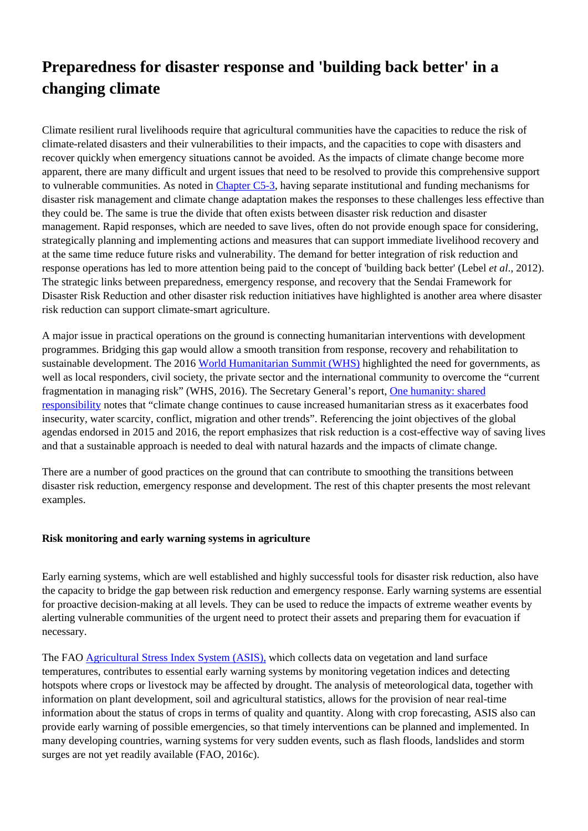# **Preparedness for disaster response and 'building back better' in a changing climate**

Climate resilient rural livelihoods require that agricultural communities have the capacities to reduce the risk of climate-related disasters and their vulnerabilities to their impacts, and the capacities to cope with disasters and recover quickly when emergency situations cannot be avoided. As the impacts of climate change become more apparent, there are many difficult and urgent issues that need to be resolved to provide this comprehensive support to vulnerable communities. As noted in [Chapter C5-3](http://www.fao.org/climate-smart-agriculture-sourcebook/enabling-frameworks/module-c5-climate-resilience/chapter-c5-3/en/), having separate institutional and funding mechanisms for disaster risk management and climate change adaptation makes the responses to these challenges less effective than they could be. The same is true the divide that often exists between disaster risk reduction and disaster management. Rapid responses, which are needed to save lives, often do not provide enough space for considering, strategically planning and implementing actions and measures that can support immediate livelihood recovery and at the same time reduce future risks and vulnerability. The demand for better integration of risk reduction and response operations has led to more attention being paid to the concept of 'building back better' (Lebel *et al*., 2012). The strategic links between preparedness, emergency response, and recovery that the Sendai Framework for Disaster Risk Reduction and other disaster risk reduction initiatives have highlighted is another area where disaster risk reduction can support climate-smart agriculture.

A major issue in practical operations on the ground is connecting humanitarian interventions with development programmes. Bridging this gap would allow a smooth transition from response, recovery and rehabilitation to sustainable development. The 2016 [World Humanitarian Summit \(WHS\)](https://www.worldhumanitariansummit.org/) highlighted the need for governments, as well as local responders, civil society, the private sector and the international community to overcome the "current fragmentation in managing risk" (WHS, 2016). The Secretary General's report, [One humanity: shared](http://sgreport.worldhumanitariansummit.org/) [responsibility](http://sgreport.worldhumanitariansummit.org/) notes that "climate change continues to cause increased humanitarian stress as it exacerbates food insecurity, water scarcity, conflict, migration and other trends". Referencing the joint objectives of the global agendas endorsed in 2015 and 2016, the report emphasizes that risk reduction is a cost-effective way of saving lives and that a sustainable approach is needed to deal with natural hazards and the impacts of climate change.

There are a number of good practices on the ground that can contribute to smoothing the transitions between disaster risk reduction, emergency response and development. The rest of this chapter presents the most relevant examples.

#### **Risk monitoring and early warning systems in agriculture**

Early earning systems, which are well established and highly successful tools for disaster risk reduction, also have the capacity to bridge the gap between risk reduction and emergency response. Early warning systems are essential for proactive decision-making at all levels. They can be used to reduce the impacts of extreme weather events by alerting vulnerable communities of the urgent need to protect their assets and preparing them for evacuation if necessary.

The FAO [Agricultural Stress Index System \(ASIS\),](http://www.fao.org/giews/earthobservation/asis/index_1.jsp?lang=en) which collects data on vegetation and land surface temperatures, contributes to essential early warning systems by monitoring vegetation indices and detecting hotspots where crops or livestock may be affected by drought. The analysis of meteorological data, together with information on plant development, soil and agricultural statistics, allows for the provision of near real-time information about the status of crops in terms of quality and quantity. Along with crop forecasting, ASIS also can provide early warning of possible emergencies, so that timely interventions can be planned and implemented. In many developing countries, warning systems for very sudden events, such as flash floods, landslides and storm surges are not yet readily available (FAO, 2016c).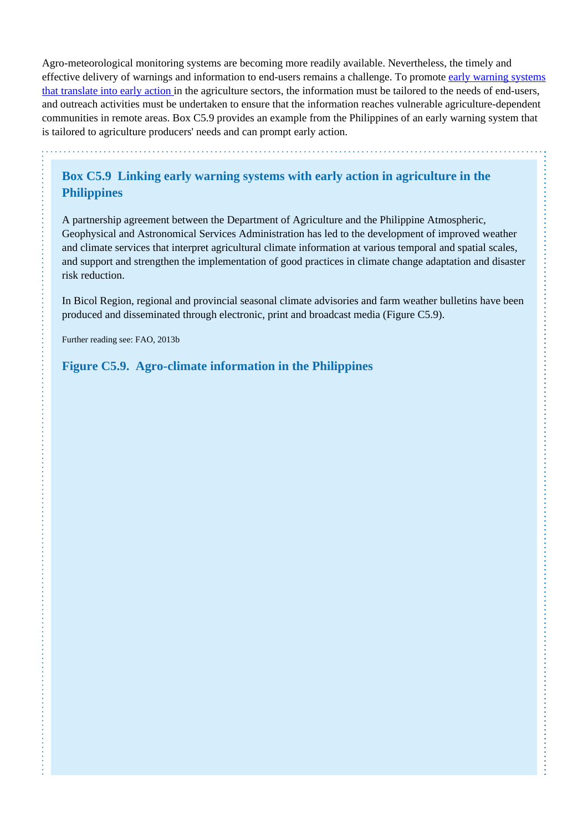Agro-meteorological monitoring systems are becoming more readily available. Nevertheless, the timely and effective delivery of warnings and information to end-users remains a challenge. To promote [early warning systems](http://www.fao.org/3/a-i5376e.pdf) [that translate into early action](http://www.fao.org/3/a-i5376e.pdf) in the agriculture sectors, the information must be tailored to the needs of end-users, and outreach activities must be undertaken to ensure that the information reaches vulnerable agriculture-dependent communities in remote areas. Box C5.9 provides an example from the Philippines of an early warning system that is tailored to agriculture producers' needs and can prompt early action.

**Box C5.9 Linking early warning systems with early action in agriculture in the Philippines**

A partnership agreement between the Department of Agriculture and the Philippine Atmospheric, Geophysical and Astronomical Services Administration has led to the development of improved weather and climate services that interpret agricultural climate information at various temporal and spatial scales, and support and strengthen the implementation of good practices in climate change adaptation and disaster risk reduction.

In Bicol Region, regional and provincial seasonal climate advisories and farm weather bulletins have been produced and disseminated through electronic, print and broadcast media (Figure C5.9).

Further reading see: FAO, 2013b

**Figure C5.9. Agro-climate information in the Philippines**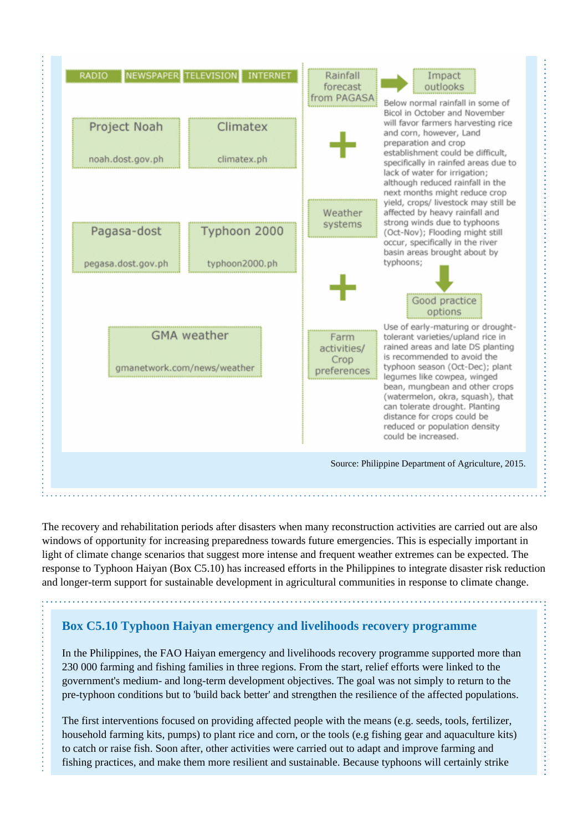

The recovery and rehabilitation periods after disasters when many reconstruction activities are carried out are also windows of opportunity for increasing preparedness towards future emergencies. This is especially important in light of climate change scenarios that suggest more intense and frequent weather extremes can be expected. The response to Typhoon Haiyan (Box C5.10) has increased efforts in the Philippines to integrate disaster risk reduction and longer-term support for sustainable development in agricultural communities in response to climate change.

## **Box C5.10 Typhoon Haiyan emergency and livelihoods recovery programme**

In the Philippines, the FAO Haiyan emergency and livelihoods recovery programme supported more than 230 000 farming and fishing families in three regions. From the start, relief efforts were linked to the government's medium- and long-term development objectives. The goal was not simply to return to the pre-typhoon conditions but to 'build back better' and strengthen the resilience of the affected populations.

The first interventions focused on providing affected people with the means (e.g. seeds, tools, fertilizer, household farming kits, pumps) to plant rice and corn, or the tools (e.g fishing gear and aquaculture kits) to catch or raise fish. Soon after, other activities were carried out to adapt and improve farming and fishing practices, and make them more resilient and sustainable. Because typhoons will certainly strike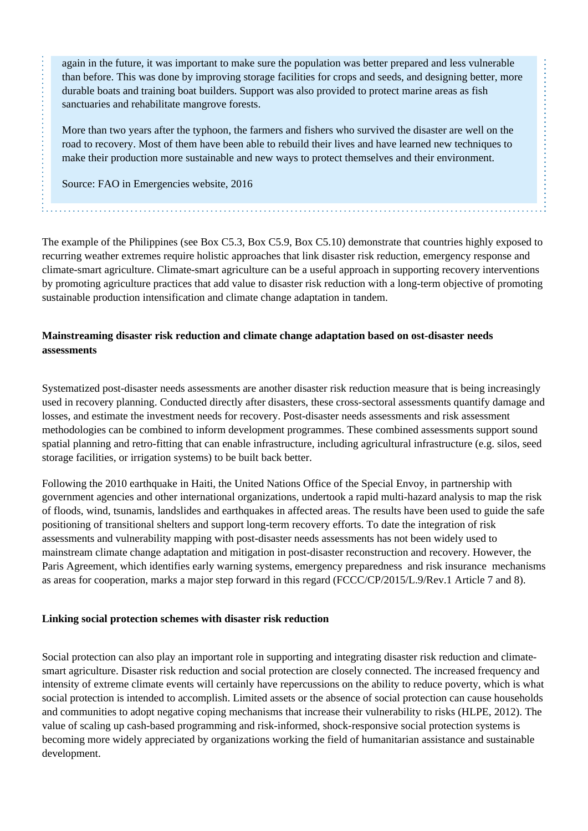again in the future, it was important to make sure the population was better prepared and less vulnerable than before. This was done by improving storage facilities for crops and seeds, and designing better, more durable boats and training boat builders. Support was also provided to protect marine areas as fish sanctuaries and rehabilitate mangrove forests.

More than two years after the typhoon, the farmers and fishers who survived the disaster are well on the road to recovery. Most of them have been able to rebuild their lives and have learned new techniques to make their production more sustainable and new ways to protect themselves and their environment.

Source: FAO in Emergencies website, 2016

The example of the Philippines (see Box C5.3, Box C5.9, Box C5.10) demonstrate that countries highly exposed to recurring weather extremes require holistic approaches that link disaster risk reduction, emergency response and climate-smart agriculture. Climate-smart agriculture can be a useful approach in supporting recovery interventions by promoting agriculture practices that add value to disaster risk reduction with a long-term objective of promoting sustainable production intensification and climate change adaptation in tandem.

#### **Mainstreaming disaster risk reduction and climate change adaptation based on ost-disaster needs assessments**

Systematized post-disaster needs assessments are another disaster risk reduction measure that is being increasingly used in recovery planning. Conducted directly after disasters, these cross-sectoral assessments quantify damage and losses, and estimate the investment needs for recovery. Post-disaster needs assessments and risk assessment methodologies can be combined to inform development programmes. These combined assessments support sound spatial planning and retro-fitting that can enable infrastructure, including agricultural infrastructure (e.g. silos, seed storage facilities, or irrigation systems) to be built back better.

Following the 2010 earthquake in Haiti, the United Nations Office of the Special Envoy, in partnership with government agencies and other international organizations, undertook a rapid multi-hazard analysis to map the risk of floods, wind, tsunamis, landslides and earthquakes in affected areas. The results have been used to guide the safe positioning of transitional shelters and support long-term recovery efforts. To date the integration of risk assessments and vulnerability mapping with post-disaster needs assessments has not been widely used to mainstream climate change adaptation and mitigation in post-disaster reconstruction and recovery. However, the Paris Agreement, which identifies early warning systems, emergency preparedness and risk insurance mechanisms as areas for cooperation, marks a major step forward in this regard (FCCC/CP/2015/L.9/Rev.1 Article 7 and 8).

#### **Linking social protection schemes with disaster risk reduction**

Social protection can also play an important role in supporting and integrating disaster risk reduction and climatesmart agriculture. Disaster risk reduction and social protection are closely connected. The increased frequency and intensity of extreme climate events will certainly have repercussions on the ability to reduce poverty, which is what social protection is intended to accomplish. Limited assets or the absence of social protection can cause households and communities to adopt negative coping mechanisms that increase their vulnerability to risks (HLPE, 2012). The value of scaling up cash-based programming and risk-informed, shock-responsive social protection systems is becoming more widely appreciated by organizations working the field of humanitarian assistance and sustainable development.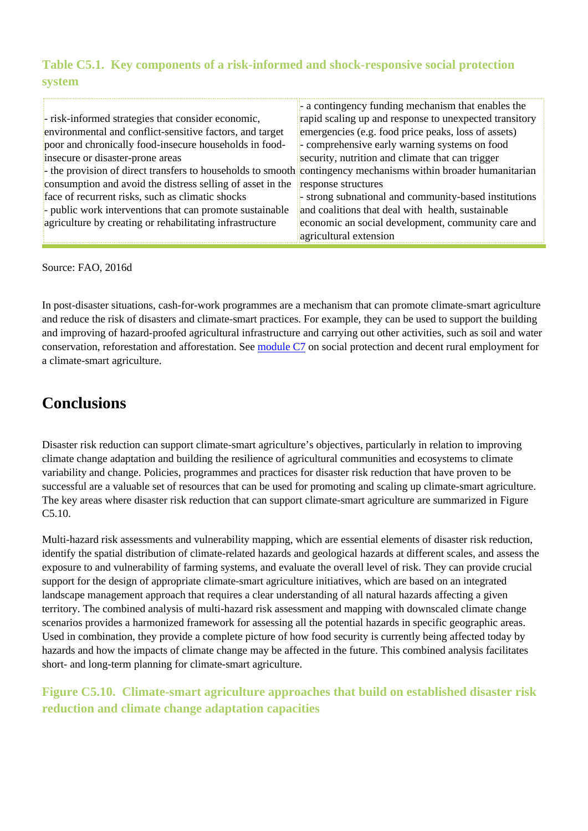## **Table C5.1. Key components of a risk-informed and shock-responsive social protection system**

|                                                                                                                | - a contingency funding mechanism that enables the     |
|----------------------------------------------------------------------------------------------------------------|--------------------------------------------------------|
| - risk-informed strategies that consider economic,                                                             | rapid scaling up and response to unexpected transitory |
| environmental and conflict-sensitive factors, and target                                                       | emergencies (e.g. food price peaks, loss of assets)    |
| poor and chronically food-insecure households in food-                                                         | comprehensive early warning systems on food            |
| insecure or disaster-prone areas                                                                               | security, nutrition and climate that can trigger       |
| - the provision of direct transfers to households to smooth contingency mechanisms within broader humanitarian |                                                        |
| consumption and avoid the distress selling of asset in the                                                     | response structures                                    |
| face of recurrent risks, such as climatic shocks                                                               | strong subnational and community-based institutions    |
| $\frac{1}{2}$ public work interventions that can promote sustainable                                           | and coalitions that deal with health, sustainable      |
| agriculture by creating or rehabilitating infrastructure                                                       | economic an social development, community care and     |
|                                                                                                                | agricultural extension                                 |

Source: FAO, 2016d

In post-disaster situations, cash-for-work programmes are a mechanism that can promote climate-smart agriculture and reduce the risk of disasters and climate-smart practices. For example, they can be used to support the building and improving of hazard-proofed agricultural infrastructure and carrying out other activities, such as soil and water conservation, reforestation and afforestation. See [module C7](http://www.fao.org/climate-smart-agriculture-sourcebook/enabling-frameworks/module-c7-social-protection/c7-overview/en/) on social protection and decent rural employment for a climate-smart agriculture.

# **Conclusions**

Disaster risk reduction can support climate-smart agriculture's objectives, particularly in relation to improving climate change adaptation and building the resilience of agricultural communities and ecosystems to climate variability and change. Policies, programmes and practices for disaster risk reduction that have proven to be successful are a valuable set of resources that can be used for promoting and scaling up climate-smart agriculture. The key areas where disaster risk reduction that can support climate-smart agriculture are summarized in Figure C5.10.

Multi-hazard risk assessments and vulnerability mapping, which are essential elements of disaster risk reduction, identify the spatial distribution of climate-related hazards and geological hazards at different scales, and assess the exposure to and vulnerability of farming systems, and evaluate the overall level of risk. They can provide crucial support for the design of appropriate climate-smart agriculture initiatives, which are based on an integrated landscape management approach that requires a clear understanding of all natural hazards affecting a given territory. The combined analysis of multi-hazard risk assessment and mapping with downscaled climate change scenarios provides a harmonized framework for assessing all the potential hazards in specific geographic areas. Used in combination, they provide a complete picture of how food security is currently being affected today by hazards and how the impacts of climate change may be affected in the future. This combined analysis facilitates short- and long-term planning for climate-smart agriculture.

**Figure C5.10. Climate-smart agriculture approaches that build on established disaster risk reduction and climate change adaptation capacities**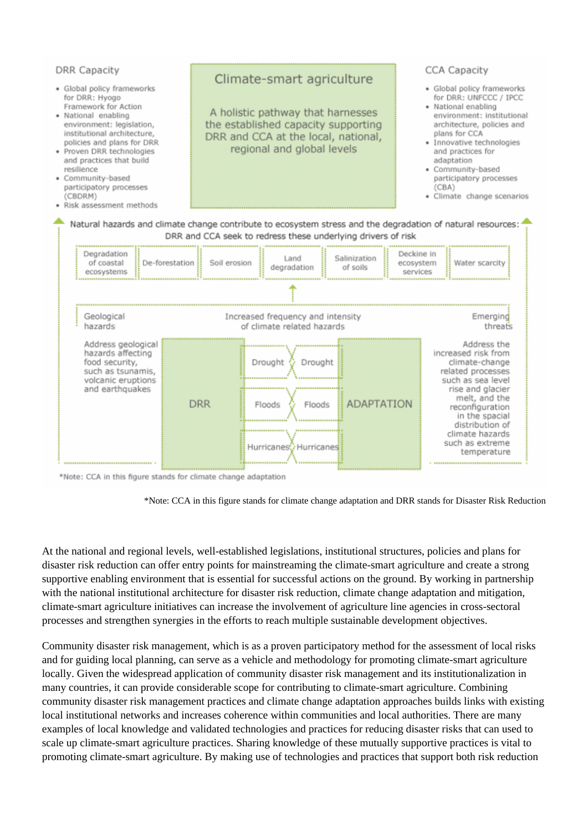

\*Note: CCA in this figure stands for climate change adaptation

\*Note: CCA in this figure stands for climate change adaptation and DRR stands for Disaster Risk Reduction

At the national and regional levels, well-established legislations, institutional structures, policies and plans for disaster risk reduction can offer entry points for mainstreaming the climate-smart agriculture and create a strong supportive enabling environment that is essential for successful actions on the ground. By working in partnership with the national institutional architecture for disaster risk reduction, climate change adaptation and mitigation, climate-smart agriculture initiatives can increase the involvement of agriculture line agencies in cross-sectoral processes and strengthen synergies in the efforts to reach multiple sustainable development objectives.

Community disaster risk management, which is as a proven participatory method for the assessment of local risks and for guiding local planning, can serve as a vehicle and methodology for promoting climate-smart agriculture locally. Given the widespread application of community disaster risk management and its institutionalization in many countries, it can provide considerable scope for contributing to climate-smart agriculture. Combining community disaster risk management practices and climate change adaptation approaches builds links with existing local institutional networks and increases coherence within communities and local authorities. There are many examples of local knowledge and validated technologies and practices for reducing disaster risks that can used to scale up climate-smart agriculture practices. Sharing knowledge of these mutually supportive practices is vital to promoting climate-smart agriculture. By making use of technologies and practices that support both risk reduction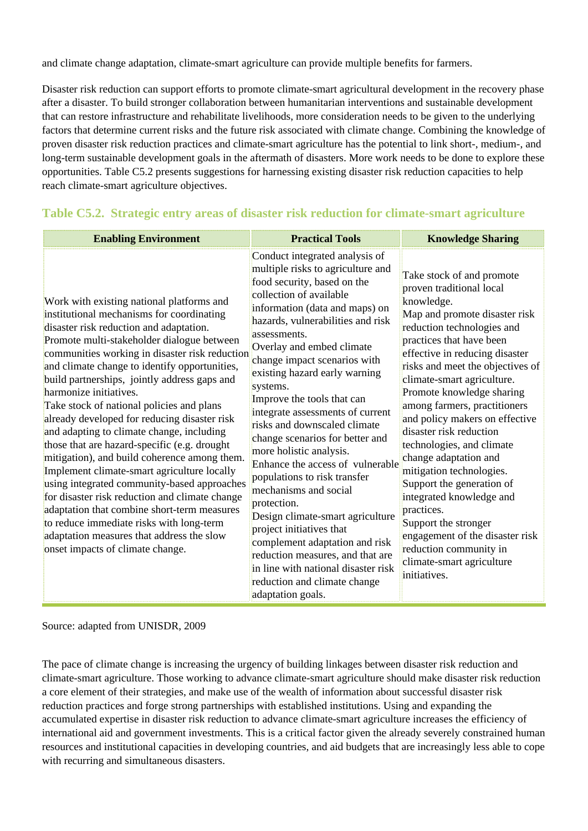and climate change adaptation, climate-smart agriculture can provide multiple benefits for farmers.

Disaster risk reduction can support efforts to promote climate-smart agricultural development in the recovery phase after a disaster. To build stronger collaboration between humanitarian interventions and sustainable development that can restore infrastructure and rehabilitate livelihoods, more consideration needs to be given to the underlying factors that determine current risks and the future risk associated with climate change. Combining the knowledge of proven disaster risk reduction practices and climate-smart agriculture has the potential to link short-, medium-, and long-term sustainable development goals in the aftermath of disasters. More work needs to be done to explore these opportunities. Table C5.2 presents suggestions for harnessing existing disaster risk reduction capacities to help reach climate-smart agriculture objectives.

| <b>Enabling Environment</b>                                                                                                                                                                                                                                                                                                                                                                                                                                                                                                                                                                                                                                                                                                                                                                                                                                                                                                        | <b>Practical Tools</b>                                                                                                                                                                                                                                                                                                                                                                                                                                                                                                                                                                                                                                                                                                                                                                                                                       | <b>Knowledge Sharing</b>                                                                                                                                                                                                                                                                                                                                                                                                                                                                                                                                                                                                                                                                |
|------------------------------------------------------------------------------------------------------------------------------------------------------------------------------------------------------------------------------------------------------------------------------------------------------------------------------------------------------------------------------------------------------------------------------------------------------------------------------------------------------------------------------------------------------------------------------------------------------------------------------------------------------------------------------------------------------------------------------------------------------------------------------------------------------------------------------------------------------------------------------------------------------------------------------------|----------------------------------------------------------------------------------------------------------------------------------------------------------------------------------------------------------------------------------------------------------------------------------------------------------------------------------------------------------------------------------------------------------------------------------------------------------------------------------------------------------------------------------------------------------------------------------------------------------------------------------------------------------------------------------------------------------------------------------------------------------------------------------------------------------------------------------------------|-----------------------------------------------------------------------------------------------------------------------------------------------------------------------------------------------------------------------------------------------------------------------------------------------------------------------------------------------------------------------------------------------------------------------------------------------------------------------------------------------------------------------------------------------------------------------------------------------------------------------------------------------------------------------------------------|
| Work with existing national platforms and<br>institutional mechanisms for coordinating<br>disaster risk reduction and adaptation.<br>Promote multi-stakeholder dialogue between<br>communities working in disaster risk reduction<br>and climate change to identify opportunities,<br>build partnerships, jointly address gaps and<br>harmonize initiatives.<br>Take stock of national policies and plans<br>already developed for reducing disaster risk<br>and adapting to climate change, including<br>those that are hazard-specific (e.g. drought<br>mitigation), and build coherence among them.<br>Implement climate-smart agriculture locally<br>using integrated community-based approaches<br>for disaster risk reduction and climate change<br>adaptation that combine short-term measures<br>to reduce immediate risks with long-term<br>adaptation measures that address the slow<br>onset impacts of climate change. | Conduct integrated analysis of<br>multiple risks to agriculture and<br>food security, based on the<br>collection of available<br>information (data and maps) on<br>hazards, vulnerabilities and risk<br>assessments.<br>Overlay and embed climate<br>change impact scenarios with<br>existing hazard early warning<br>systems.<br>Improve the tools that can<br>integrate assessments of current<br>risks and downscaled climate<br>change scenarios for better and<br>more holistic analysis.<br>Enhance the access of vulnerable<br>populations to risk transfer<br>mechanisms and social<br>protection.<br>Design climate-smart agriculture<br>project initiatives that<br>complement adaptation and risk<br>reduction measures, and that are<br>in line with national disaster risk<br>reduction and climate change<br>adaptation goals. | Take stock of and promote<br>proven traditional local<br>knowledge.<br>Map and promote disaster risk<br>reduction technologies and<br>practices that have been<br>effective in reducing disaster<br>risks and meet the objectives of<br>climate-smart agriculture.<br>Promote knowledge sharing<br>among farmers, practitioners<br>and policy makers on effective<br>disaster risk reduction<br>technologies, and climate<br>change adaptation and<br>mitigation technologies.<br>Support the generation of<br>integrated knowledge and<br>practices.<br>Support the stronger<br>engagement of the disaster risk<br>reduction community in<br>climate-smart agriculture<br>initiatives. |

#### **Table C5.2. Strategic entry areas of disaster risk reduction for climate-smart agriculture**

Source: adapted from UNISDR, 2009

The pace of climate change is increasing the urgency of building linkages between disaster risk reduction and climate-smart agriculture. Those working to advance climate-smart agriculture should make disaster risk reduction a core element of their strategies, and make use of the wealth of information about successful disaster risk reduction practices and forge strong partnerships with established institutions. Using and expanding the accumulated expertise in disaster risk reduction to advance climate-smart agriculture increases the efficiency of international aid and government investments. This is a critical factor given the already severely constrained human resources and institutional capacities in developing countries, and aid budgets that are increasingly less able to cope with recurring and simultaneous disasters.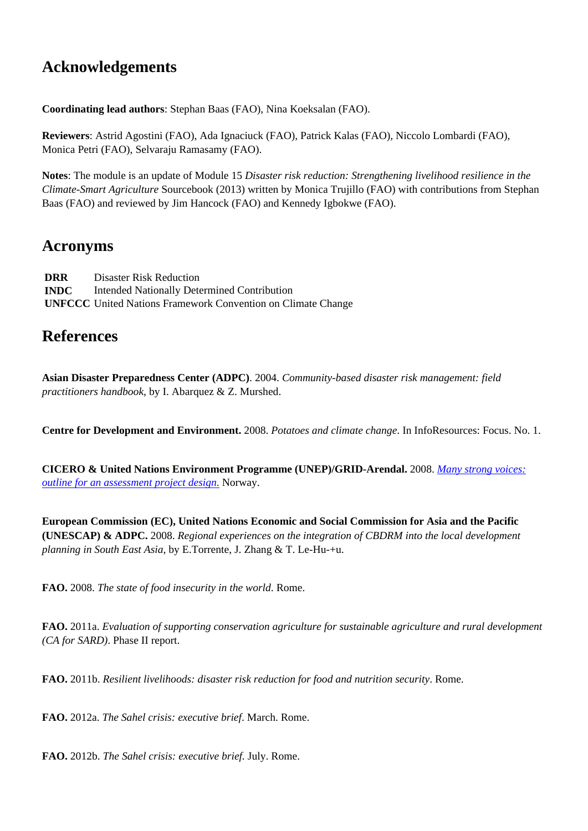# **Acknowledgements**

**Coordinating lead authors**: Stephan Baas (FAO), Nina Koeksalan (FAO).

**Reviewers**: Astrid Agostini (FAO), Ada Ignaciuck (FAO), Patrick Kalas (FAO), Niccolo Lombardi (FAO), Monica Petri (FAO), Selvaraju Ramasamy (FAO).

**Notes**: The module is an update of Module 15 *Disaster risk reduction: Strengthening livelihood resilience in the Climate-Smart Agriculture* Sourcebook (2013) written by Monica Trujillo (FAO) with contributions from Stephan Baas (FAO) and reviewed by Jim Hancock (FAO) and Kennedy Igbokwe (FAO).

## **Acronyms**

**DRR INDC UNFCCC** United Nations Framework Convention on Climate Change Disaster Risk Reduction Intended Nationally Determined Contribution

# **References**

**Asian Disaster Preparedness Center (ADPC)**. 2004. *Community-based disaster risk management: field practitioners handbook*, by I. Abarquez & Z. Murshed.

**Centre for Development and Environment.** 2008. *Potatoes and climate change*. In InfoResources: Focus. No. 1.

**CICERO & United Nations Environment Programme (UNEP)/GRID-Arendal.** 2008. *[Many strong voices:](http://www.cicero.uio.no/media/6359.pdf) [outline for an assessment project design](http://www.cicero.uio.no/media/6359.pdf)*[.](http://www.cicero.uio.no/media/6359.pdf) Norway.

**European Commission (EC), United Nations Economic and Social Commission for Asia and the Pacific (UNESCAP) & ADPC.** 2008. *Regional experiences on the integration of CBDRM into the local development planning in South East Asia*, by E.Torrente, J. Zhang & T. Le-Hu-+u.

**FAO.** 2008. *The state of food insecurity in the world*. Rome.

**FAO.** 2011a. *Evaluation of supporting conservation agriculture for sustainable agriculture and rural development (CA for SARD)*. Phase II report.

**FAO.** 2011b. *Resilient livelihoods: disaster risk reduction for food and nutrition security*. Rome.

**FAO.** 2012a. *The Sahel crisis: executive brief*. March. Rome.

**FAO.** 2012b. *The Sahel crisis: executive brief.* July. Rome.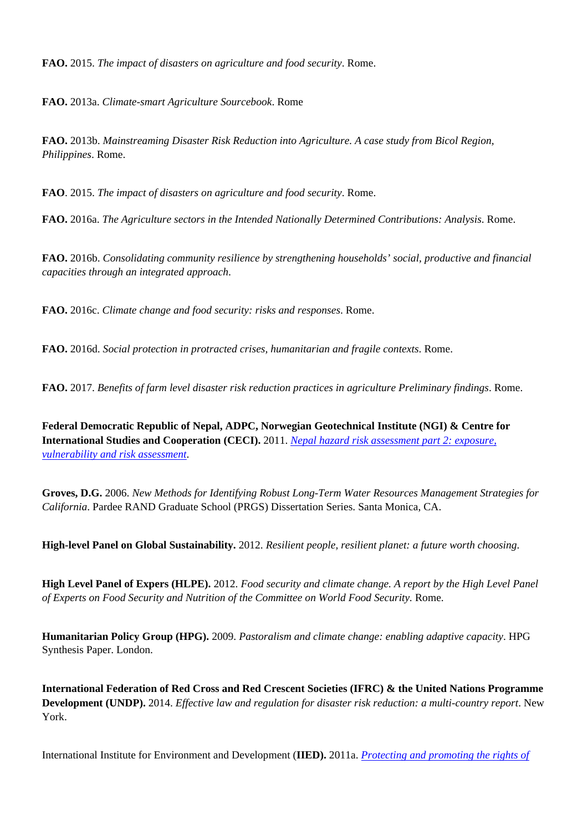**FAO.** 2015. *The impact of disasters on agriculture and food security*. Rome.

**FAO.** 2013a. *Climate-smart Agriculture Sourcebook*. Rome

**FAO.** 2013b. *Mainstreaming Disaster Risk Reduction into Agriculture. A case study from Bicol Region, Philippines*. Rome.

**FAO**. 2015. *The impact of disasters on agriculture and food security*. Rome.

**FAO.** 2016a. *The Agriculture sectors in the Intended Nationally Determined Contributions: Analysis*. Rome.

**FAO.** 2016b. *Consolidating community resilience by strengthening households' social, productive and financial capacities through an integrated approach*.

**FAO.** 2016c. *Climate change and food security: risks and responses*. Rome.

**FAO.** 2016d. *Social protection in protracted crises, humanitarian and fragile contexts*. Rome.

**FAO.** 2017. *Benefits of farm level disaster risk reduction practices in agriculture Preliminary findings*. Rome.

**Federal Democratic Republic of Nepal, ADPC, Norwegian Geotechnical Institute (NGI) & Centre for International Studies and Cooperation (CECI).** 2011. *[Nepal hazard risk assessment part 2: exposure,](http://www.gfdrr.org/sites/gfdrr.org/files/documents/Nepal_HazardAssessment_Part1.pdf) [vulnerability and risk assessment](http://www.gfdrr.org/sites/gfdrr.org/files/documents/Nepal_HazardAssessment_Part1.pdf)*.

**Groves, D.G.** 2006. *New Methods for Identifying Robust Long-Term Water Resources Management Strategies for California*. Pardee RAND Graduate School (PRGS) Dissertation Series. Santa Monica, CA.

**High-level Panel on Global Sustainability.** 2012. *Resilient people, resilient planet: a future worth choosing*.

**High Level Panel of Expers (HLPE).** 2012. *Food security and climate change. A report by the High Level Panel of Experts on Food Security and Nutrition of the Committee on World Food Security.* Rome.

**Humanitarian Policy Group (HPG).** 2009. *Pastoralism and climate change: enabling adaptive capacity*. HPG Synthesis Paper. London.

**International Federation of Red Cross and Red Crescent Societies (IFRC) & the United Nations Programme Development (UNDP).** 2014. *Effective law and regulation for disaster risk reduction: a multi-country report*. New York.

International Institute for Environment and Development (**IIED).** 2011a. *[Protecting and promoting the rights of](http://www.iied.org/protecting-promoting-rights-indigenous-people-benefits-us-all)*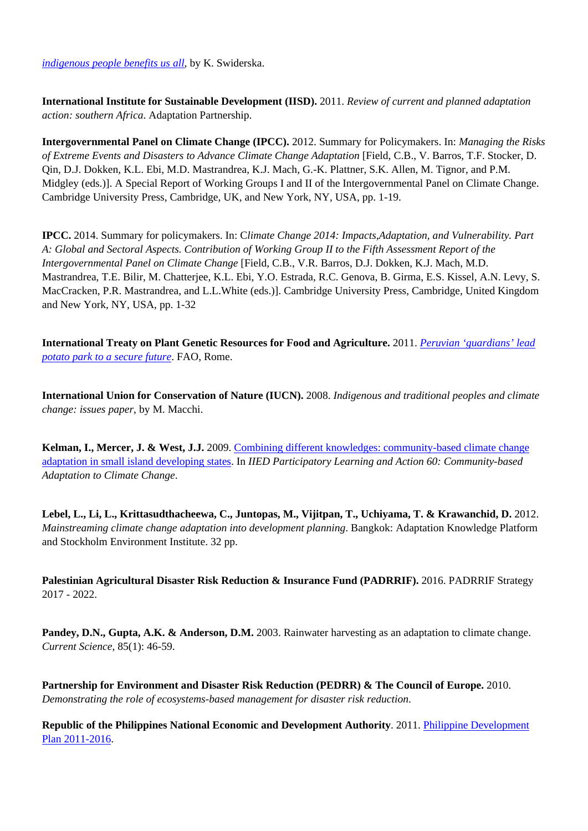*[indigenous people benefits us all](http://www.iied.org/protecting-promoting-rights-indigenous-people-benefits-us-all)*, by K. Swiderska.

**International Institute for Sustainable Development (IISD).** 2011. *Review of current and planned adaptation action: southern Africa*. Adaptation Partnership.

**Intergovernmental Panel on Climate Change (IPCC).** 2012. Summary for Policymakers. In: *Managing the Risks of Extreme Events and Disasters to Advance Climate Change Adaptation* [Field, C.B., V. Barros, T.F. Stocker, D. Qin, D.J. Dokken, K.L. Ebi, M.D. Mastrandrea, K.J. Mach, G.-K. Plattner, S.K. Allen, M. Tignor, and P.M. Midgley (eds.)]. A Special Report of Working Groups I and II of the Intergovernmental Panel on Climate Change. Cambridge University Press, Cambridge, UK, and New York, NY, USA, pp. 1-19.

**IPCC.** 2014. Summary for policymakers. In: C*limate Change 2014: Impacts,Adaptation, and Vulnerability. Part A: Global and Sectoral Aspects. Contribution of Working Group II to the Fifth Assessment Report of the Intergovernmental Panel on Climate Change* [Field, C.B., V.R. Barros, D.J. Dokken, K.J. Mach, M.D. Mastrandrea, T.E. Bilir, M. Chatterjee, K.L. Ebi, Y.O. Estrada, R.C. Genova, B. Girma, E.S. Kissel, A.N. Levy, S. MacCracken, P.R. Mastrandrea, and L.L.White (eds.)]. Cambridge University Press, Cambridge, United Kingdom and New York, NY, USA, pp. 1-32

**International Treaty on Plant Genetic Resources for Food and Agriculture.** 2011. *[Peruvian 'guardians' lead](http://www.planttreaty.org/sites/default/files/FACTSHEET%20) [potato park to a secure future](http://www.planttreaty.org/sites/default/files/FACTSHEET%20)*. FAO, Rome.

**International Union for Conservation of Nature (IUCN).** 2008. *Indigenous and traditional peoples and climate change: issues paper*, by M. Macchi.

**Kelman, I., Mercer, J. & West, J.J.** 2009. [Combining different knowledges: community-based climate change](http://pubs.iied.org/G02812.html) [adaptation in small island developing states](http://pubs.iied.org/G02812.html). In *IIED Participatory Learning and Action 60: Community-based Adaptation to Climate Change*.

**Lebel, L., Li, L., Krittasudthacheewa, C., Juntopas, M., Vijitpan, T., Uchiyama, T. & Krawanchid, D.** 2012. *Mainstreaming climate change adaptation into development planning*. Bangkok: Adaptation Knowledge Platform and Stockholm Environment Institute. 32 pp.

**Palestinian Agricultural Disaster Risk Reduction & Insurance Fund (PADRRIF).** 2016. PADRRIF Strategy 2017 - 2022.

**Pandey, D.N., Gupta, A.K. & Anderson, D.M.** 2003. Rainwater harvesting as an adaptation to climate change. *Current Science*, 85(1): 46-59.

**Partnership for Environment and Disaster Risk Reduction (PEDRR) & The Council of Europe.** 2010. *Demonstrating the role of ecosystems-based management for disaster risk reduction*.

**Republic of the Philippines National Economic and Development Authority**. 2011. [Philippine Development](http://www.neda.gov.ph/2013/10/21/philippine-development-plan-2011-2016/) [Plan 2011-2016](http://www.neda.gov.ph/2013/10/21/philippine-development-plan-2011-2016/).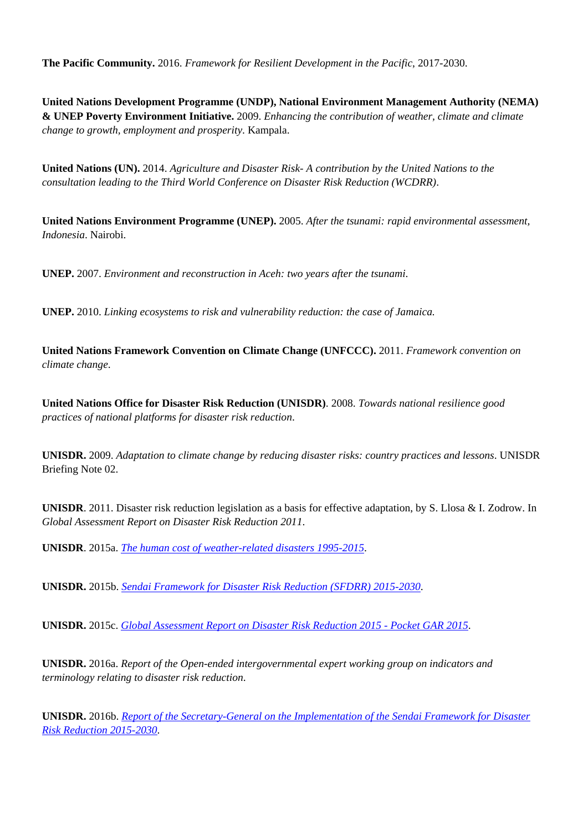**The Pacific Community.** 2016. *Framework for Resilient Development in the Pacific*, 2017-2030.

**United Nations Development Programme (UNDP), National Environment Management Authority (NEMA) & UNEP Poverty Environment Initiative.** 2009. *Enhancing the contribution of weather, climate and climate change to growth, employment and prosperity*. Kampala.

**United Nations (UN).** 2014. *Agriculture and Disaster Risk- A contribution by the United Nations to the consultation leading to the Third World Conference on Disaster Risk Reduction (WCDRR)*.

**United Nations Environment Programme (UNEP).** 2005. *After the tsunami: rapid environmental assessment, Indonesia*. Nairobi.

**UNEP.** 2007. *Environment and reconstruction in Aceh: two years after the tsunami*.

**UNEP.** 2010. *Linking ecosystems to risk and vulnerability reduction: the case of Jamaica.*

**United Nations Framework Convention on Climate Change (UNFCCC).** 2011. *Framework convention on climate change*.

**United Nations Office for Disaster Risk Reduction (UNISDR)**. 2008. *Towards national resilience good practices of national platforms for disaster risk reduction*.

**UNISDR.** 2009. *Adaptation to climate change by reducing disaster risks: country practices and lessons*. UNISDR Briefing Note 02.

**UNISDR**. 2011. Disaster risk reduction legislation as a basis for effective adaptation, by S. Llosa & I. Zodrow. In *Global Assessment Report on Disaster Risk Reduction 2011*.

**UNISDR**. 2015a. *[The human cost of weather-related disasters 1995-2015](http://www.preventionweb.net/publications/view/46796)*.

**UNISDR.** 2015b. *[Sendai Framework for Disaster Risk Reduction \(SFDRR\)](http://www.preventionweb.net/files/43291_sendaiframeworkfordrren.pdf) [2015-2030](http://www.preventionweb.net/files/43291_sendaiframeworkfordrren.pdf)*.

**UNISDR.** 2015c. *[Global Assessment Report on Disaster Risk Reduction 2015 - Pocket GAR 2015](http://www.preventionweb.net/english/hyogo/gar/2015/en/gar-pdf/GAR15_Pocket_EN.pdf)*.

**UNISDR.** 2016a. *Report of the Open-ended intergovernmental expert working group on indicators and terminology relating to disaster risk reduction*.

**UNISDR.** 2016b. *[Report of the Secretary-General on the Implementation of the Sendai Framework for Disaster](http://www.unisdr.org/files/resolutions/N1624116.pdf) [Risk Reduction 2015-2030](http://www.unisdr.org/files/resolutions/N1624116.pdf)*.